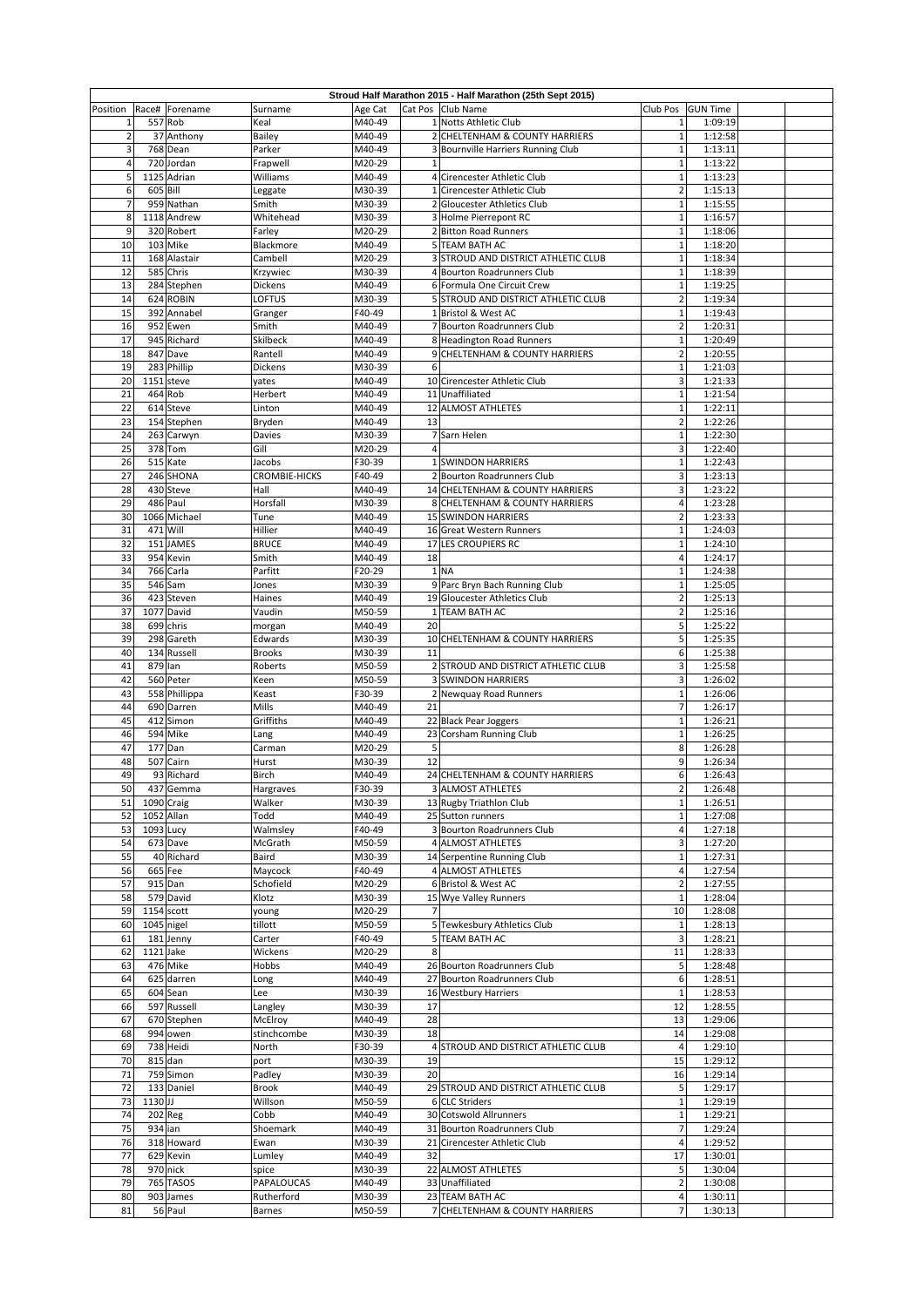| Position            | Race#       | Forename                   | Surname               | Age Cat          |                | Stroud Half Marathon 2015 - Half Marathon (25th Sept 2015)<br>Cat Pos Club Name | Club Pos                                | <b>GUN Time</b>    |  |
|---------------------|-------------|----------------------------|-----------------------|------------------|----------------|---------------------------------------------------------------------------------|-----------------------------------------|--------------------|--|
| $\mathbf{1}$        | 557         | Rob                        | Keal                  | M40-49           |                | 1 Notts Athletic Club                                                           | $\mathbf 1$                             | 1:09:19            |  |
| $\overline{2}$      |             | 37 Anthony                 | Bailey                | M40-49           |                | 2 CHELTENHAM & COUNTY HARRIERS                                                  | $\mathbf 1$                             | 1:12:58            |  |
| 3                   |             | 768 Dean                   | Parker                | M40-49           |                | 3 Bournville Harriers Running Club                                              | $\mathbf 1$                             | 1:13:11            |  |
| $\overline{4}$      |             | 720 Jordan                 | Frapwell              | M20-29           | $1\,$          |                                                                                 | $\mathbf 1$                             | 1:13:22            |  |
| 5                   |             | 1125 Adrian                | Williams              | M40-49           |                | 4 Cirencester Athletic Club                                                     | $\mathbf 1$                             | 1:13:23            |  |
| 6<br>$\overline{7}$ | 605 Bill    | 959 Nathan                 | Leggate<br>Smith      | M30-39           |                | 1 Cirencester Athletic Club<br>2 Gloucester Athletics Club                      | $\overline{\mathbf{c}}$<br>$\mathbf{1}$ | 1:15:13<br>1:15:55 |  |
| 8                   |             | 1118 Andrew                | Whitehead             | M30-39<br>M30-39 |                | 3 Holme Pierrepont RC                                                           | $\mathbf 1$                             | 1:16:57            |  |
| 9                   |             | 320 Robert                 | Farley                | M20-29           |                | 2 Bitton Road Runners                                                           | $\mathbf 1$                             | 1:18:06            |  |
| 10                  |             | 103 Mike                   | Blackmore             | M40-49           |                | 5 TEAM BATH AC                                                                  | $\mathbf 1$                             | 1:18:20            |  |
| 11                  |             | 168 Alastair               | Cambell               | M20-29           |                | 3 STROUD AND DISTRICT ATHLETIC CLUB                                             | $\mathbf 1$                             | 1:18:34            |  |
| 12                  |             | 585 Chris                  | Krzywiec              | M30-39           |                | 4 Bourton Roadrunners Club                                                      | $\mathbf{1}$                            | 1:18:39            |  |
| 13                  |             | 284 Stephen                | Dickens               | M40-49           |                | 6 Formula One Circuit Crew                                                      | $\mathbf 1$                             | 1:19:25            |  |
| 14                  |             | 624 ROBIN                  | OFTUS                 | M30-39           |                | 5 STROUD AND DISTRICT ATHLETIC CLUB                                             | $\overline{2}$                          | 1:19:34            |  |
| 15<br>16            |             | 392 Annabel<br>952 Ewen    | Granger<br>Smith      | F40-49<br>M40-49 |                | 1 Bristol & West AC<br>7 Bourton Roadrunners Club                               | $\mathbf 1$<br>$\overline{2}$           | 1:19:43<br>1:20:31 |  |
| 17                  |             | 945 Richard                | <b>Skilbeck</b>       | M40-49           |                | 8 Headington Road Runners                                                       | $\mathbf 1$                             | 1:20:49            |  |
| 18                  |             | 847 Dave                   | Rantell               | M40-49           |                | 9 CHELTENHAM & COUNTY HARRIERS                                                  | $\overline{2}$                          | 1:20:55            |  |
| 19                  |             | 283 Phillip                | Dickens               | M30-39           | 6              |                                                                                 | $\mathbf 1$                             | 1:21:03            |  |
| 20                  | 1151        | steve                      | yates                 | M40-49           |                | 10 Cirencester Athletic Club                                                    | 3                                       | 1:21:33            |  |
| 21                  | 464         | Rob                        | Herbert               | M40-49           |                | 11 Unaffiliated                                                                 | $\mathbf 1$                             | 1:21:54            |  |
| 22                  | 614         | Steve                      | Linton                | M40-49           |                | 12 ALMOST ATHLETES                                                              | $\mathbf 1$                             | 1:22:11            |  |
| 23<br>24            |             | 154 Stephen<br>263 Carwyn  | Bryden<br>Davies      | M40-49<br>M30-39 | 13             | 7 Sarn Helen                                                                    | $\overline{2}$<br>$\mathbf 1$           | 1:22:26<br>1:22:30 |  |
| 25                  |             | 378 Tom                    | Gill                  | M20-29           | $\overline{4}$ |                                                                                 | 3                                       | 1:22:40            |  |
| 26                  |             | 515 Kate                   | Jacobs                | F30-39           |                | 1 SWINDON HARRIERS                                                              | $\mathbf 1$                             | 1:22:43            |  |
| 27                  |             | 246 SHONA                  | CROMBIE-HICKS         | F40-49           |                | 2 Bourton Roadrunners Club                                                      | 3                                       | 1:23:13            |  |
| 28                  |             | 430 Steve                  | Hall                  | M40-49           |                | 14 CHELTENHAM & COUNTY HARRIERS                                                 | 3                                       | 1:23:22            |  |
| 29                  |             | 486 Paul                   | Horsfall              | M30-39           |                | 8 CHELTENHAM & COUNTY HARRIERS                                                  | 4                                       | 1:23:28            |  |
| 30                  |             | 1066 Michael               | Tune                  | M40-49           |                | <b>15 SWINDON HARRIERS</b>                                                      | $\overline{2}$                          | 1:23:33            |  |
| 31                  |             | 471 Will                   | Hillier               | M40-49           |                | 16 Great Western Runners                                                        | $\mathbf 1$                             | 1:24:03            |  |
| 32<br>33            | 954         | 151 JAMES<br>Kevin         | <b>BRUCE</b><br>Smith | M40-49<br>M40-49 | 18             | 17 LES CROUPIERS RC                                                             | $\mathbf 1$<br>4                        | 1:24:10<br>1:24:17 |  |
| 34                  |             | 766 Carla                  | Parfitt               | F20-29           |                | 1 <sub>NA</sub>                                                                 | $\mathbf 1$                             | 1:24:38            |  |
| 35                  | 546         | Sam                        | Jones                 | M30-39           |                | 9 Parc Bryn Bach Running Club                                                   | $\mathbf 1$                             | 1:25:05            |  |
| 36                  | 423         | Steven                     | Haines                | M40-49           |                | 19 Gloucester Athletics Club                                                    | $\overline{2}$                          | 1:25:13            |  |
| 37                  |             | 1077 David                 | Vaudin                | M50-59           |                | 1 TEAM BATH AC                                                                  | $\overline{2}$                          | 1:25:16            |  |
| 38                  |             | 699 chris                  | morgan                | M40-49           | 20             |                                                                                 | 5                                       | 1:25:22            |  |
| 39                  |             | 298 Gareth                 | Edwards               | M30-39           |                | 10 CHELTENHAM & COUNTY HARRIERS                                                 | 5                                       | 1:25:35            |  |
| 40                  |             | 134 Russell                | <b>Brooks</b>         | M30-39           | 11             |                                                                                 | 6                                       | 1:25:38            |  |
| 41<br>42            | 879 Ian     | 560 Peter                  | Roberts<br>Keen       | M50-59<br>M50-59 |                | 2 STROUD AND DISTRICT ATHLETIC CLUB<br><b>3 SWINDON HARRIERS</b>                | 3<br>3                                  | 1:25:58<br>1:26:02 |  |
| 43                  |             | 558 Phillippa              | Keast                 | F30-39           |                | 2 Newquay Road Runners                                                          | $\mathbf 1$                             | 1:26:06            |  |
| 44                  |             | 690 Darren                 | Mills                 | M40-49           | 21             |                                                                                 | 7                                       | 1:26:17            |  |
| 45                  |             | 412 Simon                  | Griffiths             | M40-49           |                | 22 Black Pear Joggers                                                           | $\mathbf 1$                             | 1:26:21            |  |
| 46                  |             | 594 Mike                   | Lang                  | M40-49           |                | 23 Corsham Running Club                                                         | $\mathbf 1$                             | 1:26:25            |  |
| 47                  |             | 177 Dan                    | Carman                | M20-29           | 5              |                                                                                 | 8                                       | 1:26:28            |  |
| 48                  | 507         | Cairn                      | Hurst                 | M30-39           | 12             | 24 CHELTENHAM & COUNTY HARRIERS                                                 | 9                                       | 1:26:34            |  |
| 49<br>50            |             | 93 Richard<br>437 Gemma    | Birch<br>Hargraves    | M40-49<br>F30-39 |                | 3 ALMOST ATHLETES                                                               | 6<br>2                                  | 1:26:43<br>1:26:48 |  |
| 51                  |             | 1090 Craig                 | Walker                | M30-39           |                | 13 Rugby Triathlon Club                                                         | $\mathbf 1$                             | 1:26:51            |  |
| 52                  |             | 1052 Allan                 | Todd                  | M40-49           |                | 25 Sutton runners                                                               | $\mathbf 1$                             | 1:27:08            |  |
| 53                  | 1093 Lucy   |                            | Walmsley              | F40-49           |                | 3 Bourton Roadrunners Club                                                      | 4                                       | 1:27:18            |  |
| 54                  |             | 673 Dave                   | McGrath               | M50-59           |                | 4 ALMOST ATHLETES                                                               | 3                                       | 1:27:20            |  |
| 55                  |             | 40 Richard                 | Baird                 | M30-39           |                | 14 Serpentine Running Club                                                      | $\mathbf 1$                             | 1:27:31            |  |
| 56                  |             | 665 Fee                    | Maycock               | F40-49           |                | 4 ALMOST ATHLETES                                                               | 4                                       | 1:27:54            |  |
| 57                  |             | 915 Dan<br>579 David       | Schofield             | M20-29           |                | 6 Bristol & West AC                                                             | $\overline{2}$<br>$\mathbf 1$           | 1:27:55            |  |
| 58<br>59            |             | 1154 scott                 | Klotz<br>young        | M30-39<br>M20-29 | $\overline{7}$ | 15 Wye Valley Runners                                                           | 10                                      | 1:28:04<br>1:28:08 |  |
| 60                  | 1045 nigel  |                            | tillott               | M50-59           |                | 5 Tewkesbury Athletics Club                                                     | $\mathbf{1}$                            | 1:28:13            |  |
| 61                  |             | 181 Jenny                  | Carter                | F40-49           |                | 5 TEAM BATH AC                                                                  | 3                                       | 1:28:21            |  |
| 62                  | $1121$ Jake |                            | Wickens               | M20-29           | 8              |                                                                                 | 11                                      | 1:28:33            |  |
| 63                  |             | 476 Mike                   | Hobbs                 | M40-49           |                | 26 Bourton Roadrunners Club                                                     | 5                                       | 1:28:48            |  |
| 64                  |             | 625 darren                 | Long                  | M40-49           |                | 27 Bourton Roadrunners Club                                                     | 6                                       | 1:28:51            |  |
| 65                  |             | 604 Sean                   | Lee                   | M30-39           |                | 16 Westbury Harriers                                                            | $\mathbf 1$                             | 1:28:53            |  |
| 66<br>67            |             | 597 Russell<br>670 Stephen | Langley<br>McElroy    | M30-39<br>M40-49 | 17<br>28       |                                                                                 | 12<br>13                                | 1:28:55<br>1:29:06 |  |
| 68                  |             | 994 owen                   | stinchcombe           | M30-39           | 18             |                                                                                 | 14                                      | 1:29:08            |  |
| 69                  |             | 738 Heidi                  | North                 | F30-39           |                | 4 STROUD AND DISTRICT ATHLETIC CLUB                                             | $\overline{4}$                          | 1:29:10            |  |
| 70                  |             | $815$ dan                  | port                  | M30-39           | 19             |                                                                                 | 15                                      | 1:29:12            |  |
| 71                  |             | 759 Simon                  | Padley                | M30-39           | 20             |                                                                                 | 16                                      | 1:29:14            |  |
| 72                  |             | 133 Daniel                 | <b>Brook</b>          | M40-49           |                | 29 STROUD AND DISTRICT ATHLETIC CLUB                                            | 5                                       | 1:29:17            |  |
| 73                  | 1130 JJ     |                            | Willson               | M50-59           |                | 6 CLC Striders                                                                  | $\mathbf 1$                             | 1:29:19            |  |
| 74                  | 934 ian     | 202 Reg                    | Cobb                  | M40-49           |                | 30 Cotswold Allrunners                                                          | $\mathbf 1$<br>$\overline{7}$           | 1:29:21            |  |
| 75<br>76            |             | 318 Howard                 | Shoemark<br>Ewan      | M40-49<br>M30-39 |                | 31 Bourton Roadrunners Club<br>21 Cirencester Athletic Club                     | 4                                       | 1:29:24<br>1:29:52 |  |
| 77                  |             | 629 Kevin                  | Lumley                | M40-49           | 32             |                                                                                 | 17                                      | 1:30:01            |  |
| 78                  |             | 970 nick                   | spice                 | M30-39           |                | 22 ALMOST ATHLETES                                                              | 5                                       | 1:30:04            |  |
| 79                  |             | 765 TASOS                  | PAPALOUCAS            | M40-49           |                | 33 Unaffiliated                                                                 | $\overline{2}$                          | 1:30:08            |  |
| 80                  |             | 903 James                  | Rutherford            | M30-39           |                | 23 TEAM BATH AC                                                                 | 4                                       | 1:30:11            |  |
| 81                  |             | 56 Paul                    | <b>Barnes</b>         | M50-59           |                | 7 CHELTENHAM & COUNTY HARRIERS                                                  | 7                                       | 1:30:13            |  |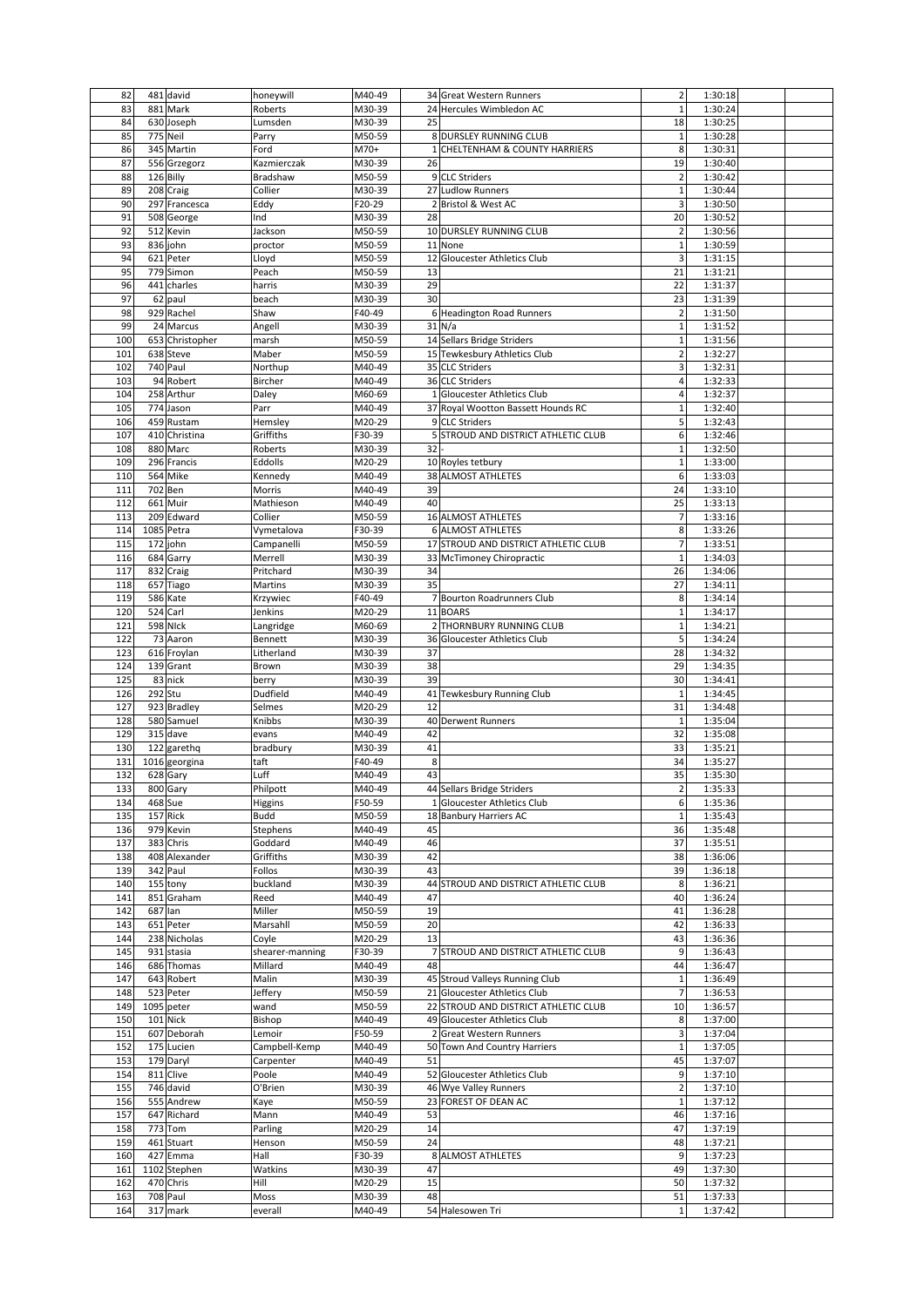| 82         |         | 481 david            | honeywill       | M40-49           |              | 34 Great Western Runners             | $\overline{2}$    | 1:30:18            |  |
|------------|---------|----------------------|-----------------|------------------|--------------|--------------------------------------|-------------------|--------------------|--|
| 83         |         | 881 Mark             | Roberts         | M30-39           |              | 24 Hercules Wimbledon AC             | $\mathbf 1$       | 1:30:24            |  |
| 84         |         | 630 Joseph           | Lumsden         | M30-39           | 25           |                                      | 18                | 1:30:25            |  |
| 85         |         | 775 Neil             | Parry           | M50-59           |              | 8 DURSLEY RUNNING CLUB               | $\mathbf 1$       | 1:30:28            |  |
| 86         |         | 345 Martin           | Ford            | M70+             |              | 1 CHELTENHAM & COUNTY HARRIERS       | 8                 | 1:30:31            |  |
| 87         |         | 556 Grzegorz         | Kazmierczak     | M30-39           | 26           |                                      | 19                | 1:30:40            |  |
| 88         |         | 126 Billy            | Bradshaw        | M50-59           |              | 9 CLC Striders                       | $\overline{2}$    | 1:30:42            |  |
| 89         |         | 208 Craig            | Collier         | M30-39           |              | 27 Ludlow Runners                    | $\mathbf 1$       | 1:30:44            |  |
| 90         |         | 297 Francesca        | Eddy            | F20-29           |              | 2 Bristol & West AC                  | 3                 | 1:30:50            |  |
| 91         |         | 508 George           | Ind             | M30-39           | 28           |                                      | 20                | 1:30:52            |  |
| 92         |         | 512 Kevin            | Jackson         | M50-59           |              | 10 DURSLEY RUNNING CLUB              | $\overline{2}$    | 1:30:56            |  |
| 93         |         | 836 john             | proctor         | M50-59           |              | 11 None                              | $\mathbf 1$       | 1:30:59            |  |
| 94         |         | 621 Peter            | Lloyd           | M50-59           | 12           | <b>Gloucester Athletics Club</b>     | 3                 | 1:31:15            |  |
|            |         |                      |                 |                  | 13           |                                      |                   |                    |  |
| 95         |         | 779 Simon            | Peach           | M50-59           |              |                                      | 21                | 1:31:21            |  |
| 96         |         | 441 charles          | harris          | M30-39           | 29           |                                      | 22                | 1:31:37            |  |
| 97         |         | 62 paul              | beach           | M30-39           | 30           |                                      | 23                | 1:31:39            |  |
| 98         |         | 929 Rachel           | Shaw            | F40-49           |              | 6 Headington Road Runners            | $\overline{2}$    | 1:31:50            |  |
| 99         |         | 24 Marcus            | Angell          | M30-39           |              | $31$ N/a                             | $\mathbf 1$       | 1:31:52            |  |
| 100        |         | 653 Christopher      | marsh           | M50-59           |              | 14 Sellars Bridge Striders           | $\mathbf 1$       | 1:31:56            |  |
| 101        |         | 638 Steve            | Maber           | M50-59           |              | 15 Tewkesbury Athletics Club         | $\overline{2}$    | 1:32:27            |  |
| 102        |         | 740 Paul             | Northup         | M40-49           |              | 35 CLC Striders                      | 3                 | 1:32:31            |  |
| 103        |         | 94 Robert            | Bircher         | M40-49           |              | 36 CLC Striders                      | 4                 | 1:32:33            |  |
| 104        |         | 258 Arthur           | Daley           | M60-69           | $\mathbf{1}$ | <b>Gloucester Athletics Club</b>     | 4                 | 1:32:37            |  |
| 105        |         | 774 Jason            | Parr            | M40-49           |              | 37 Royal Wootton Bassett Hounds RC   | $\mathbf 1$       | 1:32:40            |  |
| 106        |         | 459 Rustam           | Hemsley         | M20-29           |              | 9 CLC Striders                       | 5                 | 1:32:43            |  |
| 107        |         | 410 Christina        | Griffiths       | F30-39           |              | 5 STROUD AND DISTRICT ATHLETIC CLUB  | 6                 | 1:32:46            |  |
| 108        |         | 880 Marc             | Roberts         | M30-39           | 32           |                                      | $\mathbf 1$       | 1:32:50            |  |
| 109        |         | 296 Francis          | Eddolls         | M20-29           |              | 10 Royles tetbury                    | $\mathbf 1$       | 1:33:00            |  |
| 110        |         | 564 Mike             | Kennedy         | M40-49           |              | 38 ALMOST ATHLETES                   | 6                 | 1:33:03            |  |
| 111        | 702 Ben |                      | Morris          | M40-49           | 39           |                                      | 24                | 1:33:10            |  |
| 112        |         | 661 Muir             | Mathieson       | M40-49           | 40           |                                      | 25                | 1:33:13            |  |
| 113        |         | 209 Edward           | Collier         | M50-59           |              | 16 ALMOST ATHLETES                   | 7                 | 1:33:16            |  |
| 114        |         | 1085 Petra           | Vymetalova      | F30-39           |              | 6 ALMOST ATHLETES                    | 8                 | 1:33:26            |  |
| 115        |         | 172 john             | Campanelli      | M50-59           |              | 17 STROUD AND DISTRICT ATHLETIC CLUB | 7                 | 1:33:51            |  |
| 116        |         | 684 Garry            | Merrell         | M30-39           |              | 33 McTimoney Chiropractic            | $\mathbf{1}$      | 1:34:03            |  |
| 117        |         | 832 Craig            | Pritchard       | M30-39           | 34           |                                      | 26                | 1:34:06            |  |
| 118        |         | 657 Tiago            | Martins         | M30-39           | 35           |                                      | 27                | 1:34:11            |  |
| 119        |         | 586 Kate             | Krzywiec        | F40-49           |              | 7 Bourton Roadrunners Club           | 8                 | 1:34:14            |  |
| 120        |         | 524 Carl             | Jenkins         | M20-29           |              | 11 BOARS                             | $\mathbf 1$       | 1:34:17            |  |
| 121        |         | <b>598 NIck</b>      | Langridge       | M60-69           |              | 2 THORNBURY RUNNING CLUB             | $\mathbf{1}$      | 1:34:21            |  |
| 122        |         | 73 Aaron             | Bennett         | M30-39           |              | 36 Gloucester Athletics Club         | 5                 | 1:34:24            |  |
| 123        |         | 616 Froylan          | Litherland      | M30-39           | 37           |                                      | 28                | 1:34:32            |  |
| 124        |         | 139 Grant            | Brown           | M30-39           | 38           |                                      | 29                | 1:34:35            |  |
|            |         |                      |                 |                  |              |                                      |                   |                    |  |
|            |         |                      |                 |                  |              |                                      |                   |                    |  |
| 125        |         | 83 nick              | berry           | M30-39           | 39           |                                      | 30                | 1:34:41            |  |
| 126        | 292 Stu |                      | Dudfield        | M40-49           |              | 41 Tewkesbury Running Club           | $1\,$             | 1:34:45            |  |
| 127        |         | 923 Bradley          | Selmes          | M20-29           | 12           |                                      | 31                | 1:34:48            |  |
| 128        |         | 580 Samuel           | Knibbs          | M30-39           |              | 40 Derwent Runners                   | $\mathbf{1}$      | 1:35:04            |  |
| 129        |         | 315 dave             | evans           | M40-49           | 42           |                                      | 32                | 1:35:08            |  |
| 130        |         | 122 garethq          | bradbury        | M30-39           | 41           |                                      | 33                | 1:35:21            |  |
| 131        |         | 1016 georgina        | taft            | F40-49           | 8            |                                      | 34                | 1:35:27            |  |
| 132        |         | 628 Gary             | Luff            | M40-49           | 43           |                                      | 35                | 1:35:30            |  |
| 133        |         | 800 Gary             | Philpott        | M40-49           |              | 44 Sellars Bridge Striders           | 2                 | 1:35:33            |  |
| 134        | 468 Sue |                      | Higgins         | F50-59           |              | 1 Gloucester Athletics Club          | 6                 | 1:35:36            |  |
| 135        |         | 157 Rick             | Budd            | M50-59           |              | 18 Banbury Harriers AC               | $\mathbf 1$       | 1:35:43            |  |
| 136        |         | 979 Kevin            | Stephens        | M40-49           | 45           |                                      | 36                | 1:35:48            |  |
| 137        |         | 383 Chris            | Goddard         | M40-49           | 46           |                                      | 37                | 1:35:51            |  |
| 138        |         | 408 Alexander        | Griffiths       | M30-39           | 42           |                                      | 38                | 1:36:06            |  |
| 139        |         | 342 Paul             | Follos          | M30-39           | 43           |                                      | 39                | 1:36:18            |  |
| 140        |         | 155 tony             | buckland        | M30-39           | 44           | STROUD AND DISTRICT ATHLETIC CLUB    | 8                 | 1:36:21            |  |
| 141        |         | 851 Graham           | Reed            | M40-49           | 47           |                                      | 40                | 1:36:24            |  |
| 142        | 687 Ian |                      | Miller          | M50-59           | 19           |                                      | 41                | 1:36:28            |  |
| 143        |         | 651 Peter            | Marsahll        | M50-59           | 20           |                                      | 42                | 1:36:33            |  |
| 144        |         | 238 Nicholas         | Coyle           | M20-29           | 13           |                                      | 43                | 1:36:36            |  |
| 145        |         | 931 stasia           | shearer-manning | F30-39           |              | 7 STROUD AND DISTRICT ATHLETIC CLUB  | 9                 | 1:36:43            |  |
| 146        |         | 686 Thomas           | Millard         | M40-49           | 48           |                                      | 44                | 1:36:47            |  |
| 147        |         | 643 Robert           | Malin           | M30-39           |              | 45 Stroud Valleys Running Club       | $\mathbf 1$       | 1:36:49            |  |
| 148        |         | 523 Peter            | Jeffery         | M50-59           |              | 21 Gloucester Athletics Club         | $\boldsymbol{7}$  | 1:36:53            |  |
| 149        |         | 1095 peter           | wand            | M50-59           |              | 22 STROUD AND DISTRICT ATHLETIC CLUB | 10                | 1:36:57            |  |
| 150        |         | 101 Nick             | Bishop          | M40-49           |              | 49 Gloucester Athletics Club         | 8                 | 1:37:00            |  |
| 151        |         | 607 Deborah          | Lemoir          | F50-59           |              | 2 Great Western Runners              | 3                 | 1:37:04            |  |
| 152        |         | 175 Lucien           | Campbell-Kemp   | M40-49           |              | 50 Town And Country Harriers         | $\mathbf 1$       | 1:37:05            |  |
| 153        |         | 179 Daryl            | Carpenter       | M40-49           | 51           |                                      | 45                | 1:37:07            |  |
| 154        |         | 811 Clive            | Poole           | M40-49           |              | 52 Gloucester Athletics Club         | 9                 | 1:37:10            |  |
| 155        |         | 746 david            | O'Brien         | M30-39           |              | 46 Wye Valley Runners                | $\mathbf 2$       | 1:37:10            |  |
| 156        |         | 555 Andrew           | Kaye            | M50-59           |              | 23 FOREST OF DEAN AC                 | $\mathbf 1$       | 1:37:12            |  |
| 157        |         | 647 Richard          | Mann            | M40-49           | 53           |                                      | 46                | 1:37:16            |  |
| 158        |         | 773 Tom              | Parling         | M20-29           | 14           |                                      | 47                | 1:37:19            |  |
| 159        |         | 461 Stuart           | Henson          | M50-59           | 24           |                                      | 48                | 1:37:21            |  |
| 160        |         | 427 Emma             | Hall            | F30-39           |              | 8 ALMOST ATHLETES                    | 9                 | 1:37:23            |  |
| 161        |         | 1102 Stephen         | Watkins         | M30-39           | 47           |                                      | 49                | 1:37:30            |  |
| 162        |         | 470 Chris            | Hill            | M20-29           | 15           |                                      | 50                | 1:37:32            |  |
| 163<br>164 |         | 708 Paul<br>317 mark | Moss<br>everall | M30-39<br>M40-49 | 48           | 54 Halesowen Tri                     | 51<br>$\mathbf 1$ | 1:37:33<br>1:37:42 |  |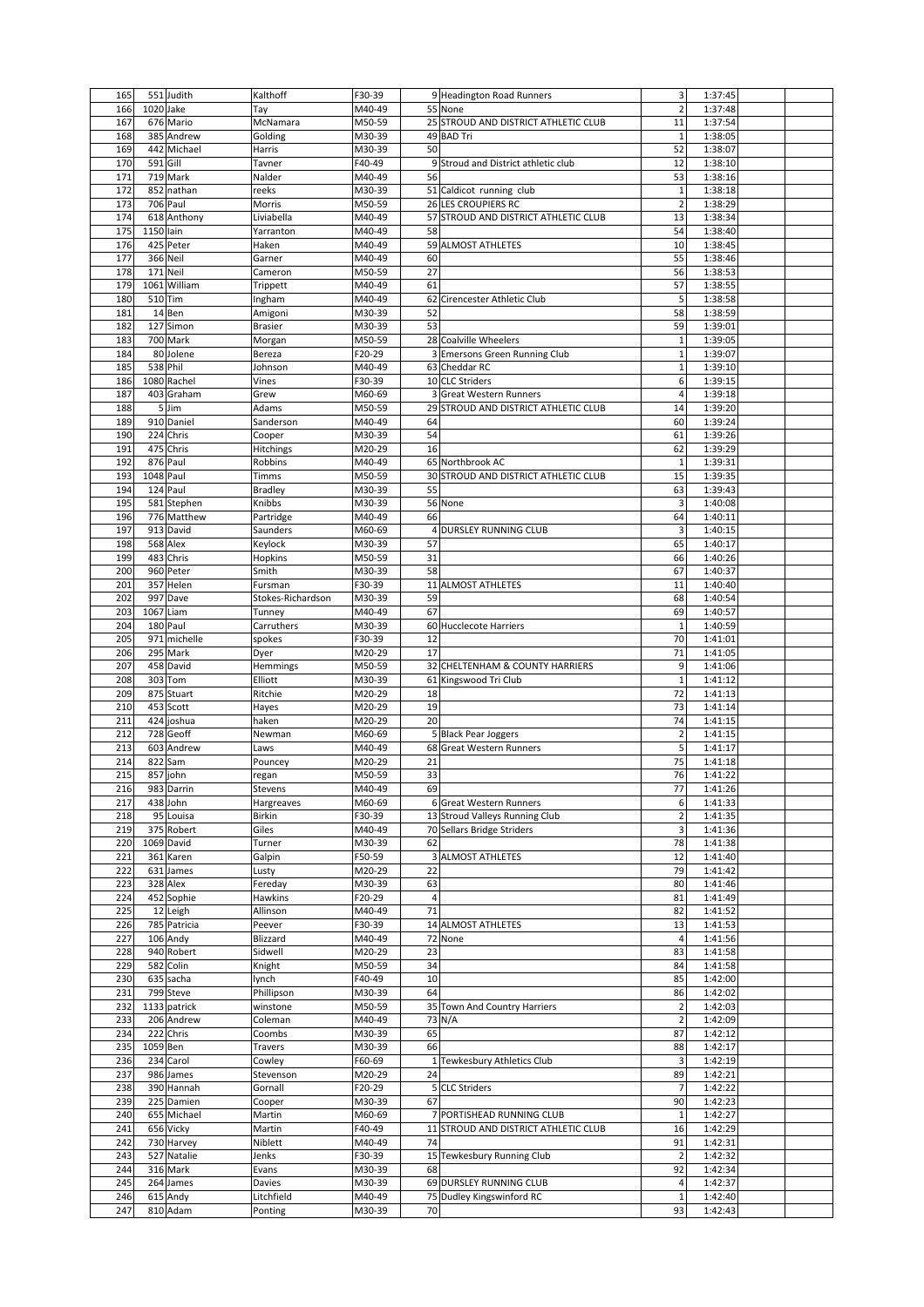| 165 |           | 551 Judith   | Kalthoff          | F30-39 | 9 Headington Road Runners                      | 3              | 1:37:45 |
|-----|-----------|--------------|-------------------|--------|------------------------------------------------|----------------|---------|
| 166 | 1020 Jake |              | Tay               | M40-49 | 55 None                                        | $\overline{2}$ | 1:37:48 |
| 167 |           | 676 Mario    | McNamara          | M50-59 | 25 STROUD AND DISTRICT ATHLETIC CLUB           | 11             | 1:37:54 |
| 168 |           | 385 Andrew   | Golding           | M30-39 | 49 BAD Tri                                     | $\mathbf{1}$   | 1:38:05 |
| 169 |           | 442 Michael  | Harris            | M30-39 | 50                                             | 52             | 1:38:07 |
| 170 | 591 Gill  |              | Tavner            | F40-49 | 9 Stroud and District athletic club            | 12             | 1:38:10 |
| 171 |           | 719 Mark     | Nalder            | M40-49 | 56                                             | 53             | 1:38:16 |
| 172 |           | 852 nathan   | reeks             | M30-39 | 51 Caldicot running club                       | $\mathbf{1}$   | 1:38:18 |
| 173 |           | 706 Paul     | Morris            | M50-59 | <b>26 LES CROUPIERS RC</b>                     | $\overline{2}$ | 1:38:29 |
| 174 |           | 618 Anthony  | Liviabella        | M40-49 | STROUD AND DISTRICT ATHLETIC CLUB<br>57        | 13             | 1:38:34 |
| 175 | 1150 lain |              | Yarranton         | M40-49 | 58                                             | 54             | 1:38:40 |
| 176 |           | 425 Peter    | Haken             | M40-49 | 59 ALMOST ATHLETES                             | 10             | 1:38:45 |
| 177 | 366 Neil  |              | Garner            | M40-49 | 60                                             | 55             | 1:38:46 |
| 178 | 171 Neil  |              | Cameron           | M50-59 | 27                                             | 56             | 1:38:53 |
| 179 |           | 1061 William | Trippett          | M40-49 | 61                                             | 57             | 1:38:55 |
| 180 | 510 Tim   |              | Ingham            | M40-49 | 62<br>Cirencester Athletic Club                | 5              | 1:38:58 |
| 181 |           | 14 Ben       | Amigoni           | M30-39 | 52                                             | 58             | 1:38:59 |
| 182 |           | 127 Simon    | <b>Brasier</b>    | M30-39 | 53                                             | 59             | 1:39:01 |
| 183 |           | 700 Mark     |                   | M50-59 | 28 Coalville Wheelers                          | $\mathbf 1$    | 1:39:05 |
| 184 |           | 80 Jolene    | Morgan            | F20-29 |                                                | $\mathbf{1}$   | 1:39:07 |
| 185 |           |              | Bereza            |        | 3 Emersons Green Running Club<br>63 Cheddar RC | $\mathbf{1}$   |         |
|     | 538 Phil  |              | Johnson           | M40-49 |                                                |                | 1:39:10 |
| 186 |           | 1080 Rachel  | Vines             | F30-39 | 10 CLC Striders                                | 6              | 1:39:15 |
| 187 |           | 403 Graham   | Grew              | M60-69 | 3 Great Western Runners                        | 4              | 1:39:18 |
| 188 |           | 5 Jim        | Adams             | M50-59 | 29 STROUD AND DISTRICT ATHLETIC CLUB           | 14             | 1:39:20 |
| 189 |           | 910 Daniel   | Sanderson         | M40-49 | 64                                             | 60             | 1:39:24 |
| 190 |           | 224 Chris    | Cooper            | M30-39 | 54                                             | 61             | 1:39:26 |
| 191 |           | 475 Chris    | Hitchings         | M20-29 | 16                                             | 62             | 1:39:29 |
| 192 |           | 876 Paul     | Robbins           | M40-49 | 65 Northbrook AC                               | $\mathbf{1}$   | 1:39:31 |
| 193 | 1048 Paul |              | Timms             | M50-59 | 30 STROUD AND DISTRICT ATHLETIC CLUB           | 15             | 1:39:35 |
| 194 |           | 124 Paul     | <b>Bradley</b>    | M30-39 | 55                                             | 63             | 1:39:43 |
| 195 |           | 581 Stephen  | Knibbs            | M30-39 | 56 None                                        | 3              | 1:40:08 |
| 196 |           | 776 Matthew  | Partridge         | M40-49 | 66                                             | 64             | 1:40:11 |
| 197 |           | 913 David    | Saunders          | M60-69 | 4 DURSLEY RUNNING CLUB                         | 3              | 1:40:15 |
| 198 |           | 568 Alex     | Keylock           | M30-39 | 57                                             | 65             | 1:40:17 |
| 199 |           | 483 Chris    | Hopkins           | M50-59 | 31                                             | 66             | 1:40:26 |
| 200 |           | 960 Peter    | Smith             | M30-39 | 58                                             | 67             | 1:40:37 |
| 201 |           | 357 Helen    | Fursman           | F30-39 | 11 ALMOST ATHLETES                             | 11             | 1:40:40 |
| 202 |           | 997 Dave     | Stokes-Richardson | M30-39 | 59                                             | 68             | 1:40:54 |
| 203 | 1067 Liam |              | Tunney            | M40-49 | 67                                             | 69             | 1:40:57 |
| 204 |           | 180 Paul     | Carruthers        | M30-39 | 60 Hucclecote Harriers                         | $\mathbf{1}$   | 1:40:59 |
| 205 |           | 971 michelle | spokes            | F30-39 | 12                                             | 70             | 1:41:01 |
| 206 |           | 295 Mark     |                   | M20-29 | 17                                             | 71             | 1:41:05 |
| 207 |           | 458 David    | Dyer              | M50-59 | 32 CHELTENHAM & COUNTY HARRIERS                |                | 1:41:06 |
|     |           |              | Hemmings          |        |                                                | 9              |         |
| 208 |           | 303 Tom      | Elliott           | M30-39 | 61 Kingswood Tri Club                          | $\mathbf 1$    | 1:41:12 |
| 209 |           | 875 Stuart   | Ritchie           | M20-29 | 18                                             | 72             | 1:41:13 |
| 210 |           | 453 Scott    | Hayes             | M20-29 | 19                                             | 73             | 1:41:14 |
| 211 |           | 424 joshua   | haken             | M20-29 | 20                                             | 74             | 1:41:15 |
| 212 |           | 728 Geoff    | Newman            | M60-69 | 5<br><b>Black Pear Joggers</b>                 | $\overline{2}$ | 1:41:15 |
| 213 |           | 603 Andrew   | .aws              | M40-49 | 68<br><b>Great Western Runners</b>             | 5              | 1:41:17 |
| 214 |           | 822 Sam      | Pouncey           | M20-29 | 21                                             | 75             | 1:41:18 |
| 215 |           | 857 john     | regan             | M50-59 | 33                                             | 76             | 1:41:22 |
| 216 |           | 983 Darrin   | Stevens           | M40-49 | 69                                             | 77             | 1:41:26 |
| 217 |           | 438 John     | Hargreaves        | M60-69 | 6 Great Western Runners                        | 6              | 1:41:33 |
| 218 |           | 95 Louisa    | Birkin            | F30-39 | 13 Stroud Valleys Running Club                 | $\mathbf 2$    | 1:41:35 |
| 219 |           | 375 Robert   | Giles             | M40-49 | 70 Sellars Bridge Striders                     | 3              | 1:41:36 |
| 220 |           | 1069 David   | Turner            | M30-39 | 62                                             | 78             | 1:41:38 |
| 221 |           | 361 Karen    | Galpin            | F50-59 | 3 ALMOST ATHLETES                              | 12             | 1:41:40 |
| 222 |           | 631 James    | Lusty             | M20-29 | 22                                             | 79             | 1:41:42 |
| 223 |           | 328 Alex     | Fereday           | M30-39 | 63                                             | 80             | 1:41:46 |
| 224 |           | 452 Sophie   | Hawkins           | F20-29 | $\overline{4}$                                 | 81             | 1:41:49 |
| 225 |           | 12 Leigh     | Allinson          | M40-49 | 71                                             | 82             | 1:41:52 |
| 226 |           | 785 Patricia | Peever            | F30-39 | 14 ALMOST ATHLETES                             | 13             | 1:41:53 |
| 227 |           | 106 Andy     | Blizzard          | M40-49 | 72 None                                        | 4              | 1:41:56 |
| 228 |           | 940 Robert   | Sidwell           | M20-29 | 23                                             | 83             | 1:41:58 |
| 229 |           | 582 Colin    | Knight            | M50-59 | 34                                             | 84             | 1:41:58 |
| 230 |           | 635 sacha    | lynch             | F40-49 | 10                                             | 85             | 1:42:00 |
| 231 |           | 799 Steve    | Phillipson        | M30-39 | 64                                             | 86             | 1:42:02 |
| 232 |           | 1133 patrick |                   | M50-59 |                                                | $\overline{2}$ | 1:42:03 |
|     |           |              | winstone          |        | 35 Town And Country Harriers                   |                |         |
| 233 |           | 206 Andrew   | Coleman           | M40-49 | 73 N/A                                         | $\overline{2}$ | 1:42:09 |
| 234 |           | 222 Chris    | Coombs            | M30-39 | 65                                             | 87             | 1:42:12 |
| 235 | 1059 Ben  |              | Travers           | M30-39 | 66                                             | 88             | 1:42:17 |
| 236 |           | 234 Carol    | Cowley            | F60-69 | Tewkesbury Athletics Club<br>$\mathbf{1}$      | 3              | 1:42:19 |
| 237 |           | 986 James    | Stevenson         | M20-29 | 24                                             | 89             | 1:42:21 |
| 238 |           | 390 Hannah   | Gornall           | F20-29 | 5 CLC Striders                                 | $\overline{7}$ | 1:42:22 |
| 239 |           | 225 Damien   | Cooper            | M30-39 | 67                                             | 90             | 1:42:23 |
| 240 |           | 655 Michael  | Martin            | M60-69 | 7 PORTISHEAD RUNNING CLUB                      | 1              | 1:42:27 |
| 241 |           | 656 Vicky    | Martin            | F40-49 | STROUD AND DISTRICT ATHLETIC CLUB<br>11        | 16             | 1:42:29 |
| 242 |           | 730 Harvey   | Niblett           | M40-49 | 74                                             | 91             | 1:42:31 |
| 243 |           | 527 Natalie  | Jenks             | F30-39 | 15 Tewkesbury Running Club                     | $\overline{2}$ | 1:42:32 |
| 244 |           | 316 Mark     | Evans             | M30-39 | 68                                             | 92             | 1:42:34 |
| 245 |           | 264 James    | Davies            | M30-39 | 69 DURSLEY RUNNING CLUB                        | $\overline{a}$ | 1:42:37 |
| 246 |           | 615 Andy     | Litchfield        | M40-49 | 75 Dudley Kingswinford RC                      | $\mathbf 1$    | 1:42:40 |
| 247 |           | 810 Adam     | Ponting           | M30-39 | 70                                             | 93             | 1:42:43 |
|     |           |              |                   |        |                                                |                |         |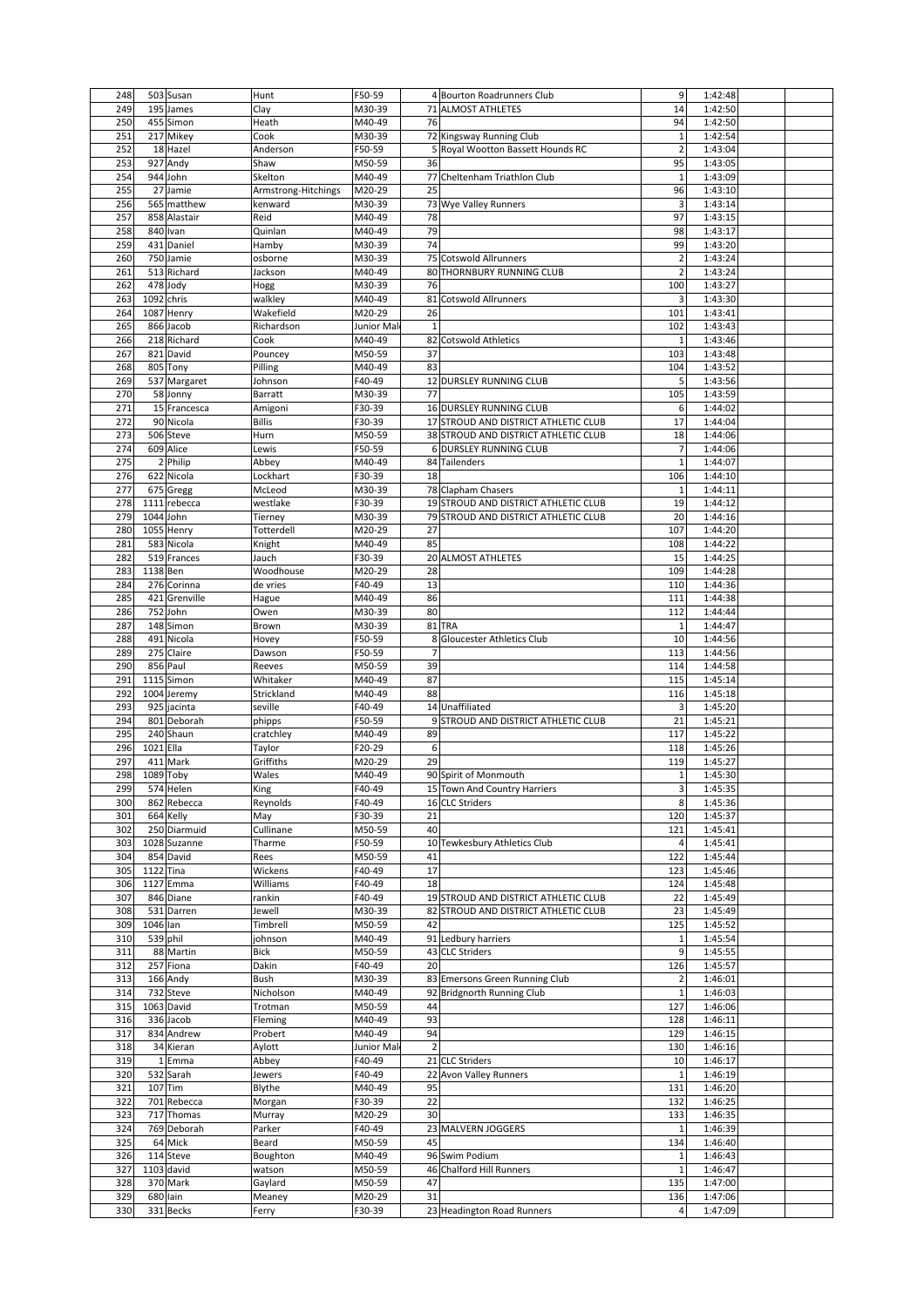| 248 |            | 503 Susan     | Hunt                | F50-59     | 4 Bourton Roadrunners Club              | 9                        | 1:42:48 |
|-----|------------|---------------|---------------------|------------|-----------------------------------------|--------------------------|---------|
| 249 |            | 195 James     | Clay                | M30-39     | 71 ALMOST ATHLETES                      | 14                       | 1:42:50 |
| 250 |            | 455 Simon     | Heath               | M40-49     | 76                                      | 94                       | 1:42:50 |
| 251 |            | 217 Mikey     | Cook                | M30-39     | 72 Kingsway Running Club                | $\mathbf{1}$             | 1:42:54 |
| 252 |            | 18 Hazel      | Anderson            | F50-59     | 5 Royal Wootton Bassett Hounds RC       | $\overline{2}$           | 1:43:04 |
|     |            | 927 Andy      |                     |            |                                         |                          |         |
| 253 |            |               | Shaw                | M50-59     | 36                                      | 95                       | 1:43:05 |
| 254 |            | 944 John      | Skelton             | M40-49     | 77<br>Cheltenham Triathlon Club         | $\mathbf{1}$             | 1:43:09 |
| 255 |            | 27 Jamie      | Armstrong-Hitchings | M20-29     | 25                                      | 96                       | 1:43:10 |
| 256 |            | 565 matthew   | kenward             | M30-39     | 73 Wye Valley Runners                   | 3                        | 1:43:14 |
| 257 |            | 858 Alastair  | Reid                | M40-49     | 78                                      | 97                       | 1:43:15 |
| 258 |            | 840 Ivan      | Quinlan             | M40-49     | 79                                      | 98                       | 1:43:17 |
| 259 |            | 431 Daniel    | Hamby               | M30-39     | 74                                      | 99                       | 1:43:20 |
| 260 |            | 750 Jamie     | osborne             | M30-39     | 75 Cotswold Allrunners                  | $\overline{2}$           | 1:43:24 |
| 261 |            | 513 Richard   | Jackson             | M40-49     | <b>80 THORNBURY RUNNING CLUB</b>        | $\overline{2}$           | 1:43:24 |
|     |            |               |                     |            |                                         |                          |         |
| 262 |            | 478 Jody      | Hogg                | M30-39     | 76                                      | 100                      | 1:43:27 |
| 263 | 1092 chris |               | walkley             | M40-49     | 81 Cotswold Allrunners                  | 3                        | 1:43:30 |
| 264 |            | 1087 Henry    | Wakefield           | M20-29     | 26                                      | 101                      | 1:43:41 |
| 265 |            | 866 Jacob     | Richardson          | Junior Mal | $\mathbf 1$                             | 102                      | 1:43:43 |
| 266 |            | 218 Richard   | Cook                | M40-49     | 82 Cotswold Athletics                   | $\mathbf{1}$             | 1:43:46 |
| 267 |            | 821 David     | Pouncey             | M50-59     | 37                                      | 103                      | 1:43:48 |
| 268 |            | 805 Tony      | Pilling             | M40-49     | 83                                      | 104                      | 1:43:52 |
| 269 |            |               |                     |            |                                         |                          |         |
|     |            | 537 Margaret  | Johnson             | F40-49     | 12 DURSLEY RUNNING CLUB                 | 5                        | 1:43:56 |
| 270 |            | 58 Jonny      | Barratt             | M30-39     | 77                                      | 105                      | 1:43:59 |
| 271 |            | 15 Francesca  | Amigoni             | F30-39     | 16 DURSLEY RUNNING CLUB                 | 6                        | 1:44:02 |
| 272 |            | 90 Nicola     | Billis              | F30-39     | 17 STROUD AND DISTRICT ATHLETIC CLUB    | 17                       | 1:44:04 |
| 273 |            | 506 Steve     | Hurn                | M50-59     | 38 STROUD AND DISTRICT ATHLETIC CLUB    | 18                       | 1:44:06 |
| 274 |            | 609 Alice     | Lewis               | F50-59     | 6 DURSLEY RUNNING CLUB                  | $\overline{\phantom{a}}$ | 1:44:06 |
| 275 |            | 2 Philip      | Abbey               | M40-49     | 84 Tailenders                           | $\mathbf{1}$             | 1:44:07 |
|     |            |               |                     |            |                                         |                          |         |
| 276 |            | 622 Nicola    | Lockhart            | F30-39     | 18                                      | 106                      | 1:44:10 |
| 277 |            | 675 Gregg     | McLeod              | M30-39     | 78 Clapham Chasers                      | 1                        | 1:44:11 |
| 278 |            | 1111 rebecca  | westlake            | F30-39     | 19 STROUD AND DISTRICT ATHLETIC CLUB    | 19                       | 1:44:12 |
| 279 | 1044 John  |               | Tierney             | M30-39     | 79 STROUD AND DISTRICT ATHLETIC CLUB    | 20                       | 1:44:16 |
| 280 |            | 1055 Henry    | Totterdell          | M20-29     | 27                                      | 107                      | 1:44:20 |
| 281 |            | 583 Nicola    | Knight              | M40-49     | 85                                      | 108                      | 1:44:22 |
|     |            |               |                     |            |                                         |                          |         |
| 282 |            | 519 Frances   | Jauch               | F30-39     | 20 ALMOST ATHLETES                      | 15                       | 1:44:25 |
| 283 | 1138 Ben   |               | Woodhouse           | M20-29     | 28                                      | 109                      | 1:44:28 |
| 284 |            | 276 Corinna   | de vries            | F40-49     | 13                                      | 110                      | 1:44:36 |
| 285 |            | 421 Grenville | Hague               | M40-49     | 86                                      | 111                      | 1:44:38 |
| 286 |            | 752 John      | Owen                | M30-39     | 80                                      | 112                      | 1:44:44 |
| 287 |            | 148 Simon     | Brown               | M30-39     | 81<br><b>TRA</b>                        | $\mathbf{1}$             | 1:44:47 |
|     |            |               |                     |            |                                         |                          |         |
| 288 |            | 491 Nicola    | Hovey               | F50-59     | 8<br>Gloucester Athletics Club          | 10                       | 1:44:56 |
| 289 |            | 275 Claire    | Dawson              | F50-59     | $\overline{7}$                          | 113                      | 1:44:56 |
| 290 |            | 856 Paul      | Reeves              | M50-59     | 39                                      | 114                      | 1:44:58 |
| 291 |            | 1115 Simon    | Whitaker            | M40-49     | 87                                      | 115                      | 1:45:14 |
| 292 |            | 1004 Jeremy   | Strickland          | M40-49     | 88                                      | 116                      | 1:45:18 |
| 293 |            | 925 jacinta   | seville             | F40-49     | 14 Unaffiliated                         | 3                        | 1:45:20 |
| 294 |            | 801 Deborah   |                     | F50-59     | STROUD AND DISTRICT ATHLETIC CLUB<br>9  | 21                       | 1:45:21 |
|     |            |               | phipps              |            |                                         |                          |         |
| 295 |            | 240 Shaun     | cratchley           | M40-49     | 89                                      | 117                      | 1:45:22 |
| 296 | 1021 Ella  |               | Taylor              | F20-29     | 6                                       | 118                      | 1:45:26 |
| 297 |            | 411 Mark      | Griffiths           | M20-29     | 29                                      | 119                      | 1:45:27 |
| 298 | 1089 Toby  |               | Wales               | M40-49     | 90 Spirit of Monmouth                   | 1                        | 1:45:30 |
| 299 |            | 574 Helen     | King                | F40-49     | 15 Town And Country Harriers            | 3                        | 1:45:35 |
| 300 |            | 862 Rebecca   | Reynolds            | F40-49     | 16 CLC Striders                         | 8                        | 1:45:36 |
| 301 |            | 664 Kelly     | May                 | F30-39     | 21                                      | 120                      | 1:45:37 |
|     |            |               |                     |            |                                         |                          |         |
| 302 |            | 250 Diarmuid  | Cullinane           | M50-59     | 40                                      | 121                      | 1:45:41 |
| 303 |            | 1028 Suzanne  | Tharme              | F50-59     | 10 Tewkesbury Athletics Club            | 4                        | 1:45:41 |
| 304 |            | 854 David     | Rees                | M50-59     | 41                                      | 122                      | 1:45:44 |
| 305 | 1122 Tina  |               | Wickens             | F40-49     | 17                                      | 123                      | 1:45:46 |
| 306 |            | 1127 Emma     | Williams            | F40-49     | 18                                      | 124                      | 1:45:48 |
| 307 |            | 846 Diane     | rankin              | F40-49     | 19 STROUD AND DISTRICT ATHLETIC CLUB    | 22                       | 1:45:49 |
| 308 |            | 531 Darren    | Jewell              | M30-39     | STROUD AND DISTRICT ATHLETIC CLUB<br>82 | 23                       | 1:45:49 |
| 309 | 1046 lan   |               | Timbrell            | M50-59     | 42                                      |                          | 1:45:52 |
|     |            |               |                     |            |                                         | 125                      |         |
| 310 | 539 phil   |               | johnson             | M40-49     | 91 Ledbury harriers                     | 1                        | 1:45:54 |
| 311 |            | 88 Martin     | Bick                | M50-59     | 43 CLC Striders                         | 9                        | 1:45:55 |
| 312 |            | 257 Fiona     | Dakin               | F40-49     | 20                                      | 126                      | 1:45:57 |
| 313 |            | 166 Andy      | Bush                | M30-39     | 83 Emersons Green Running Club          | 2                        | 1:46:01 |
| 314 |            | 732 Steve     | Nicholson           | M40-49     | <b>Bridgnorth Running Club</b><br>92    | $\mathbf 1$              | 1:46:03 |
|     |            | 1063 David    |                     | M50-59     | 44                                      | 127                      | 1:46:06 |
| 315 |            |               | Trotman             |            |                                         |                          |         |
| 316 |            | 336 Jacob     | Fleming             | M40-49     | 93                                      | 128                      | 1:46:11 |
| 317 |            | 834 Andrew    | Probert             | M40-49     | 94                                      | 129                      | 1:46:15 |
| 318 |            | 34 Kieran     | Aylott              | Junior Mal | $\overline{2}$                          | 130                      | 1:46:16 |
| 319 |            | 1 Emma        | Abbey               | F40-49     | 21 CLC Striders                         | 10                       | 1:46:17 |
| 320 |            | 532 Sarah     | Jewers              | F40-49     | 22<br>Avon Valley Runners               | $\mathbf{1}$             | 1:46:19 |
| 321 | 107 Tim    |               | Blythe              | M40-49     | 95                                      | 131                      | 1:46:20 |
| 322 |            | 701 Rebecca   |                     | F30-39     | 22                                      | 132                      | 1:46:25 |
|     |            |               | Morgan              |            |                                         |                          |         |
| 323 |            | 717 Thomas    | Murray              | M20-29     | 30                                      | 133                      | 1:46:35 |
| 324 |            | 769 Deborah   | Parker              | F40-49     | 23 MALVERN JOGGERS                      | $\mathbf{1}$             | 1:46:39 |
| 325 |            | 64 Mick       | Beard               | M50-59     | 45                                      | 134                      | 1:46:40 |
| 326 |            | 114 Steve     | Boughton            | M40-49     | 96 Swim Podium                          | 1                        | 1:46:43 |
| 327 |            | 1103 david    | watson              | M50-59     | 46 Chalford Hill Runners                | 1                        | 1:46:47 |
| 328 |            | 370 Mark      | Gaylard             | M50-59     | 47                                      | 135                      | 1:47:00 |
|     |            |               |                     |            |                                         |                          |         |
| 329 | 680 lain   |               | Meaney              | M20-29     | 31                                      | 136                      | 1:47:06 |
| 330 |            | 331 Becks     | Ferry               | F30-39     | 23 Headington Road Runners              | 4                        | 1:47:09 |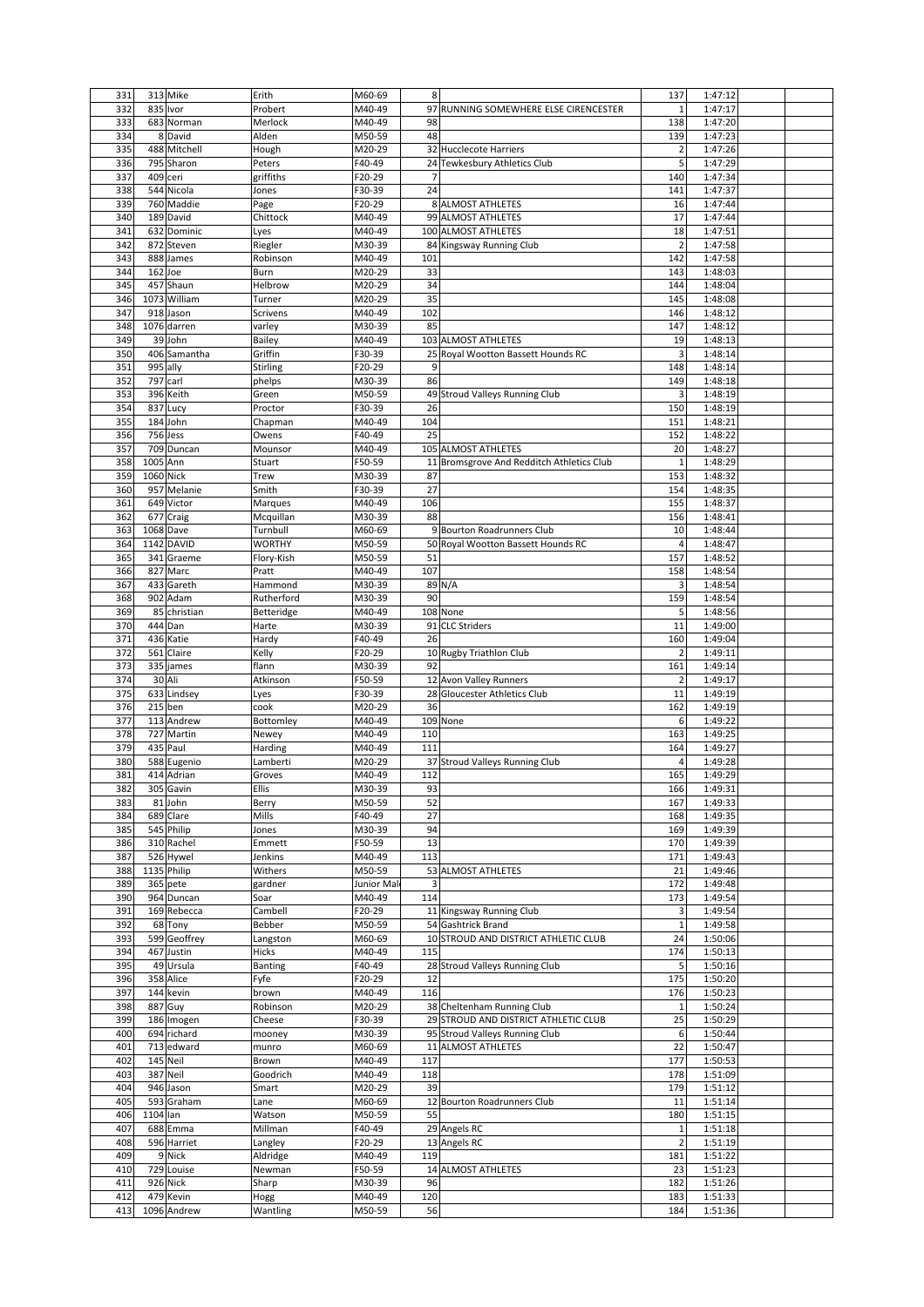| 331        |           | 313 Mike                 | Erith            | M60-69           | 8                                         | 137            | 1:47:12            |  |
|------------|-----------|--------------------------|------------------|------------------|-------------------------------------------|----------------|--------------------|--|
| 332        | 835 Ivor  |                          | Probert          | M40-49           | 97<br>RUNNING SOMEWHERE ELSE CIRENCESTER  | 1              | 1:47:17            |  |
| 333        |           | 683 Norman               | Merlock          | M40-49           | 98                                        | 138            | 1:47:20            |  |
| 334        |           | 8 David                  | Alden            | M50-59           | 48                                        | 139            | 1:47:23            |  |
|            |           |                          |                  |                  |                                           |                |                    |  |
| 335        |           | 488 Mitchell             | Hough            | M20-29           | 32 Hucclecote Harriers                    | $\overline{2}$ | 1:47:26            |  |
| 336        |           | 795 Sharon               | Peters           | F40-49           | 24 Tewkesbury Athletics Club              | 5              | 1:47:29            |  |
| 337        | 409 ceri  |                          | griffiths        | F20-29           | $\overline{7}$                            | 140            | 1:47:34            |  |
| 338        |           | 544 Nicola               | Jones            | F30-39           | 24                                        | 141            | 1:47:37            |  |
| 339        |           | 760 Maddie               | Page             | F20-29           | 8 ALMOST ATHLETES                         | 16             | 1:47:44            |  |
| 340        |           | 189 David                | Chittock         | M40-49           | 99 ALMOST ATHLETES                        | 17             | 1:47:44            |  |
|            |           |                          |                  |                  |                                           |                |                    |  |
| 341        |           | 632 Dominic              | Lyes             | M40-49           | 100 ALMOST ATHLETES                       | 18             | 1:47:51            |  |
| 342        |           | 872 Steven               | Riegler          | M30-39           | 84 Kingsway Running Club                  | $\overline{2}$ | 1:47:58            |  |
| 343        |           | 888 James                | Robinson         | M40-49           | 101                                       | 142            | 1:47:58            |  |
| 344        | 162 Joe   |                          | Burn             | M20-29           | 33                                        | 143            | 1:48:03            |  |
| 345        |           | 457 Shaun                | Helbrow          | M20-29           | 34                                        | 144            | 1:48:04            |  |
| 346        |           | 1073 William             | Turner           | M20-29           | 35                                        | 145            | 1:48:08            |  |
| 347        |           | 918 Jason                |                  | M40-49           | 102                                       |                |                    |  |
|            |           |                          | Scrivens         |                  |                                           | 146            | 1:48:12            |  |
| 348        |           | 1076 darren              | varley           | M30-39           | 85                                        | 147            | 1:48:12            |  |
| 349        |           | 39 John                  | Bailey           | M40-49           | 103 ALMOST ATHLETES                       | 19             | 1:48:13            |  |
| 350        |           | 406 Samantha             | Griffin          | F30-39           | 25 Royal Wootton Bassett Hounds RC        | 3              | 1:48:14            |  |
| 351        | 995 ally  |                          | <b>Stirling</b>  | F20-29           | 9                                         | 148            | 1:48:14            |  |
| 352        | 797 carl  |                          | phelps           | M30-39           | 86                                        | 149            | 1:48:18            |  |
| 353        |           | 396 Keith                | Green            | M50-59           | 49 Stroud Valleys Running Club            | 3              | 1:48:19            |  |
|            |           |                          |                  |                  |                                           |                |                    |  |
| 354        |           | 837 Lucy                 | Proctor          | F30-39           | 26                                        | 150            | 1:48:19            |  |
| 355        |           | 184 John                 | Chapman          | M40-49           | 104                                       | 151            | 1:48:21            |  |
| 356        | 756 Jess  |                          | Owens            | F40-49           | 25                                        | 152            | 1:48:22            |  |
| 357        |           | 709 Duncan               | Mounsor          | M40-49           | 105 ALMOST ATHLETES                       | 20             | 1:48:27            |  |
| 358        | 1005 Ann  |                          | Stuart           | F50-59           | 11 Bromsgrove And Redditch Athletics Club | $\mathbf{1}$   | 1:48:29            |  |
| 359        | 1060 Nick |                          | Trew             | M30-39           | 87                                        | 153            | 1:48:32            |  |
|            |           |                          |                  |                  |                                           |                |                    |  |
| 360        |           | 957 Melanie              | Smith            | F30-39           | 27                                        | 154            | 1:48:35            |  |
| 361        |           | 649 Victor               | Marques          | M40-49           | 106                                       | 155            | 1:48:37            |  |
| 362        |           | 677 Craig                | Mcquillan        | M30-39           | 88                                        | 156            | 1:48:41            |  |
| 363        | 1068 Dave |                          | Turnbull         | M60-69           | 9 Bourton Roadrunners Club                | 10             | 1:48:44            |  |
| 364        |           | 1142 DAVID               | WORTHY           | M50-59           | 50 Royal Wootton Bassett Hounds RC        | $\overline{4}$ | 1:48:47            |  |
| 365        |           | 341 Graeme               |                  | M50-59           | 51                                        | 157            | 1:48:52            |  |
|            |           |                          | Flory-Kish       |                  |                                           |                |                    |  |
| 366        |           | 827 Marc                 | Pratt            | M40-49           | 107                                       | 158            | 1:48:54            |  |
| 367        |           | 433 Gareth               | Hammond          | M30-39           | 89 N/A                                    | 3              | 1:48:54            |  |
| 368        |           | 902 Adam                 | Rutherford       | M30-39           | 90                                        | 159            | 1:48:54            |  |
| 369        |           | 85 christian             | Betteridge       | M40-49           | 108 None                                  | 5              | 1:48:56            |  |
| 370        |           | 444 Dan                  | Harte            | M30-39           | 91 CLC Striders                           | 11             | 1:49:00            |  |
| 371        |           | 436 Katie                |                  | F40-49           | 26                                        | 160            | 1:49:04            |  |
|            |           |                          | Hardy            |                  |                                           |                |                    |  |
| 372        |           | 561 Claire               | Kelly            | F20-29           | 10 Rugby Triathlon Club                   | $\overline{2}$ | 1:49:11            |  |
| 373        |           | 335 james                | flann            | M30-39           | 92                                        | 161            | 1:49:14            |  |
| 374        |           | 30 Ali                   | Atkinson         | F50-59           | 12 Avon Valley Runners                    | $\overline{2}$ | 1:49:17            |  |
|            |           | 633 Lindsey              | Lyes             | F30-39           | 28 Gloucester Athletics Club              | 11             | 1:49:19            |  |
| 375        |           |                          |                  |                  |                                           |                |                    |  |
|            |           |                          |                  |                  |                                           |                |                    |  |
| 376        | 215 ben   |                          | cook             | M20-29           | 36                                        | 162            | 1:49:19            |  |
| 377        |           | 113 Andrew               | Bottomley        | M40-49           | 109 None                                  | 6              | 1:49:22            |  |
| 378        |           | 727 Martin               | Newey            | M40-49           | 110                                       | 163            | 1:49:25            |  |
| 379        |           | 435 Paul                 | Harding          | M40-49           | 111                                       | 164            | 1:49:27            |  |
| 380        |           | 588 Eugenio              | Lamberti         | M20-29           | 37<br><b>Stroud Valleys Running Club</b>  | 4              | 1:49:28            |  |
| 381        |           | 414 Adrian               | Groves           | M40-49           | 112                                       | 165            | 1:49:29            |  |
|            |           |                          |                  |                  |                                           |                |                    |  |
| 382        |           | 305 Gavin                | Ellis            | M30-39           | 93                                        | 166            | 1:49:31            |  |
| 383        |           | 81 John                  | Berry            | M50-59           | 52                                        | 167            | 1:49:33            |  |
| 384        |           | 689 Clare                | Mills            | F40-49           | 27                                        | 168            | 1:49:35            |  |
| 385        |           | 545 Philip               | Jones            | M30-39           | 94                                        | 169            | 1:49:39            |  |
| 386        |           | 310 Rachel               | Emmett           | F50-59           | 13                                        | 170            | 1:49:39            |  |
| 387        |           | 526 Hywel                | Jenkins          | M40-49           | 113                                       | 171            | 1:49:43            |  |
| 388        |           | 1135 Philip              | Withers          | M50-59           | 53 ALMOST ATHLETES                        | 21             | 1:49:46            |  |
| 389        |           | 365 pete                 | gardner          | Junior Mal       | 3                                         | 172            | 1:49:48            |  |
| 390        |           | 964 Duncan               | Soar             | M40-49           | 114                                       | 173            | 1:49:54            |  |
|            |           |                          |                  |                  |                                           |                |                    |  |
| 391        |           | 169 Rebecca              | Cambell          | F20-29           | 11 Kingsway Running Club                  | 3              | 1:49:54            |  |
| 392        |           | 68 Tony                  | Bebber           | M50-59           | 54 Gashtrick Brand                        | $\mathbf{1}$   | 1:49:58            |  |
| 393        |           | 599 Geoffrey             | Langston         | M60-69           | STROUD AND DISTRICT ATHLETIC CLUB<br>10   | 24             | 1:50:06            |  |
| 394        |           | 467 Justin               | Hicks            | M40-49           | 115                                       | 174            | 1:50:13            |  |
| 395        |           | 49 Ursula                | Banting          | F40-49           | 28 Stroud Valleys Running Club            | 5              | 1:50:16            |  |
| 396        |           | 358 Alice                | Fyfe             | F20-29           | 12                                        | 175            | 1:50:20            |  |
| 397        |           | 144 kevin                | brown            | M40-49           | 116                                       | 176            | 1:50:23            |  |
|            |           |                          |                  |                  |                                           |                |                    |  |
| 398        |           | 887 Guy                  | Robinson         | M20-29           | 38 Cheltenham Running Club                | $\mathbf 1$    | 1:50:24            |  |
| 399        |           | 186 Imogen               | Cheese           | F30-39           | 29 STROUD AND DISTRICT ATHLETIC CLUB      | 25             | 1:50:29            |  |
| 400        |           | 694 richard              | mooney           | M30-39           | 95 Stroud Valleys Running Club            | 6              | 1:50:44            |  |
| 401        |           | 713 edward               | munro            | M60-69           | 11 ALMOST ATHLETES                        | 22             | 1:50:47            |  |
| 402        |           | 145 Neil                 | Brown            | M40-49           | 117                                       | 177            | 1:50:53            |  |
| 403        |           | 387 Neil                 | Goodrich         | M40-49           | 118                                       | 178            | 1:51:09            |  |
| 404        |           |                          |                  |                  |                                           |                |                    |  |
|            |           | 946 Jason                | Smart            | M20-29           | 39                                        | 179            | 1:51:12            |  |
| 405        |           | 593 Graham               | Lane             | M60-69           | 12 Bourton Roadrunners Club               | 11             | 1:51:14            |  |
| 406        | 1104 Ian  |                          | Watson           | M50-59           | 55                                        | 180            | 1:51:15            |  |
| 407        |           | 688 Emma                 | Millman          | F40-49           | 29 Angels RC                              | $\mathbf{1}$   | 1:51:18            |  |
| 408        |           | 596 Harriet              | Langley          | F20-29           | 13 Angels RC                              | $\overline{2}$ | 1:51:19            |  |
| 409        |           | 9 Nick                   | Aldridge         | M40-49           | 119                                       | 181            | 1:51:22            |  |
| 410        |           | 729 Louise               | Newman           | F50-59           | 14 ALMOST ATHLETES                        | 23             | 1:51:23            |  |
|            |           |                          |                  |                  |                                           |                |                    |  |
| 411        |           | 926 Nick                 | Sharp            | M30-39           | 96                                        | 182            | 1:51:26            |  |
| 412<br>413 |           | 479 Kevin<br>1096 Andrew | Hogg<br>Wantling | M40-49<br>M50-59 | 120<br>56                                 | 183<br>184     | 1:51:33<br>1:51:36 |  |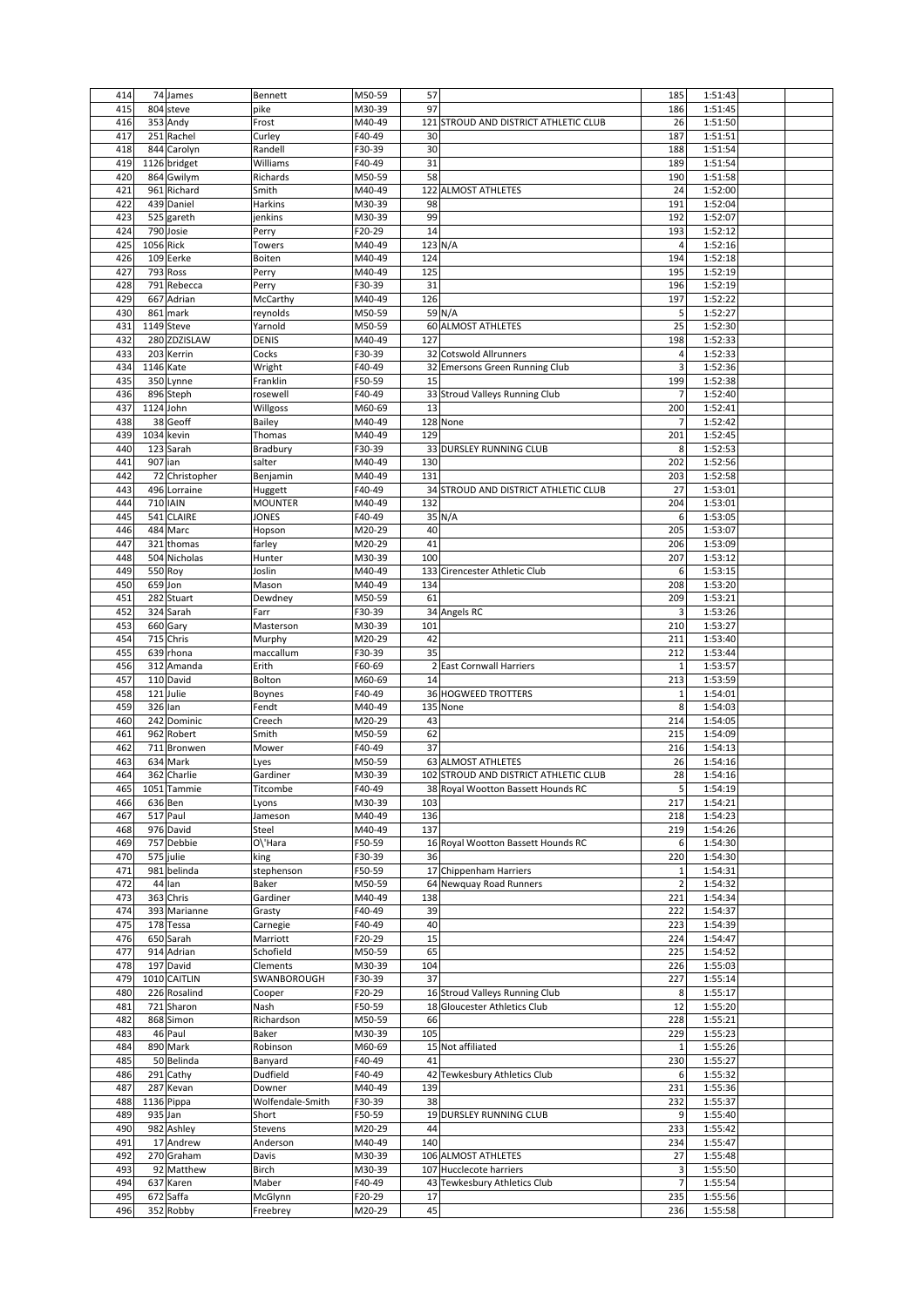| 414        |             | 74 James               | Bennett             | M50-59           | 57                                       | 185                      | 1:51:43            |  |
|------------|-------------|------------------------|---------------------|------------------|------------------------------------------|--------------------------|--------------------|--|
| 415        |             | 804 steve              | pike                | M30-39           | 97                                       | 186                      | 1:51:45            |  |
| 416        |             | 353 Andy               | Frost               | M40-49           | 121<br>STROUD AND DISTRICT ATHLETIC CLUB | 26                       | 1:51:50            |  |
| 417        |             | 251 Rachel             | Curley              | F40-49           | 30                                       | 187                      | 1:51:51            |  |
| 418        |             | 844 Carolyn            | Randell             | F30-39           | 30                                       | 188                      | 1:51:54            |  |
| 419        |             |                        |                     | F40-49           |                                          |                          |                    |  |
|            |             | 1126 bridget           | Williams            |                  | 31                                       | 189                      | 1:51:54            |  |
| 420        |             | 864 Gwilym             | Richards            | M50-59           | 58                                       | 190                      | 1:51:58            |  |
| 421        |             | 961 Richard            | Smith               | M40-49           | 122 ALMOST ATHLETES                      | 24                       | 1:52:00            |  |
| 422        |             | 439 Daniel             | Harkins             | M30-39           | 98                                       | 191                      | 1:52:04            |  |
| 423        |             | 525 gareth             | jenkins             | M30-39           | 99                                       | 192                      | 1:52:07            |  |
| 424        |             | 790 Josie              | Perry               | F20-29           | 14                                       | 193                      | 1:52:12            |  |
| 425        | 1056 Rick   |                        | Towers              | M40-49           | 123 N/A                                  | 4                        | 1:52:16            |  |
| 426        |             | 109 Eerke              | Boiten              | M40-49           | 124                                      | 194                      | 1:52:18            |  |
| 427        |             | 793 Ross               |                     | M40-49           | 125                                      | 195                      | 1:52:19            |  |
|            |             |                        | Perry               |                  |                                          |                          |                    |  |
| 428        |             | 791 Rebecca            | Perry               | F30-39           | 31                                       | 196                      | 1:52:19            |  |
| 429        |             | 667 Adrian             | McCarthy            | M40-49           | 126                                      | 197                      | 1:52:22            |  |
| 430        |             | 861 mark               | reynolds            | M50-59           | 59 N/A                                   | 5                        | 1:52:27            |  |
| 431        |             | 1149 Steve             | Yarnold             | M50-59           | 60 ALMOST ATHLETES                       | 25                       | 1:52:30            |  |
| 432        |             | 280 ZDZISLAW           | DENIS               | M40-49           | 127                                      | 198                      | 1:52:33            |  |
| 433        |             | 203 Kerrin             | Cocks               | F30-39           | 32 Cotswold Allrunners                   | 4                        | 1:52:33            |  |
| 434        | 1146 Kate   |                        | Wright              | F40-49           | 32 Emersons Green Running Club           | 3                        | 1:52:36            |  |
|            |             |                        |                     |                  |                                          |                          |                    |  |
| 435        |             | 350 Lynne              | Franklin            | F50-59           | 15                                       | 199                      | 1:52:38            |  |
| 436        |             | 896 Steph              | rosewell            | F40-49           | 33 Stroud Valleys Running Club           | 7                        | 1:52:40            |  |
| 437        | $1124$ John |                        | Willgoss            | M60-69           | 13                                       | 200                      | 1:52:41            |  |
| 438        |             | 38 Geoff               | Bailey              | M40-49           | 128 None                                 | 7                        | 1:52:42            |  |
| 439        |             | 1034 kevin             | Thomas              | M40-49           | 129                                      | 201                      | 1:52:45            |  |
| 440        |             | 123 Sarah              | Bradbury            | F30-39           | 33 DURSLEY RUNNING CLUB                  | 8                        | 1:52:53            |  |
| 441        | 907 ian     |                        |                     | M40-49           | 130                                      | 202                      | 1:52:56            |  |
|            |             |                        | salter              |                  |                                          |                          |                    |  |
| 442        |             | 72 Christopher         | Benjamin            | M40-49           | 131                                      | 203                      | 1:52:58            |  |
| 443        |             | 496 Lorraine           | Huggett             | F40-49           | 34 STROUD AND DISTRICT ATHLETIC CLUB     | 27                       | 1:53:01            |  |
| 444        |             | 710 IAIN               | <b>MOUNTER</b>      | M40-49           | 132                                      | 204                      | 1:53:01            |  |
| 445        |             | 541 CLAIRE             | JONES               | F40-49           | 35 N/A                                   | 6                        | 1:53:05            |  |
| 446        |             | 484 Marc               | Hopson              | M20-29           | 40                                       | 205                      | 1:53:07            |  |
| 447        |             | 321 thomas             | farley              | M20-29           | 41                                       | 206                      | 1:53:09            |  |
|            |             |                        |                     |                  |                                          |                          |                    |  |
| 448        |             | 504 Nicholas           | Hunter              | M30-39           | 100                                      | 207                      | 1:53:12            |  |
| 449        | 550 Roy     |                        | Joslin              | M40-49           | 133 Cirencester Athletic Club            | 6                        | 1:53:15            |  |
| 450        | 659 Jon     |                        | Mason               | M40-49           | 134                                      | 208                      | 1:53:20            |  |
| 451        |             | 282 Stuart             | Dewdney             | M50-59           | 61                                       | 209                      | 1:53:21            |  |
| 452        |             | 324 Sarah              | Farr                | F30-39           | 34 Angels RC                             | 3                        | 1:53:26            |  |
| 453        |             | 660 Gary               | Masterson           | M30-39           | 101                                      | 210                      | 1:53:27            |  |
|            |             |                        |                     |                  |                                          |                          |                    |  |
| 454        |             | 715 Chris              | Murphy              | M20-29           | 42                                       | 211                      | 1:53:40            |  |
| 455        |             | 639 rhona              | maccallum           | F30-39           | 35                                       | 212                      | 1:53:44            |  |
| 456        |             | 312 Amanda             | Erith               | F60-69           | 2 East Cornwall Harriers                 | $\mathbf{1}$             | 1:53:57            |  |
| 457        |             | 110 David              | Bolton              | M60-69           | 14                                       | 213                      | 1:53:59            |  |
| 458        |             | 121 Julie              | Boynes              | F40-49           | <b>36 HOGWEED TROTTERS</b>               | $\mathbf{1}$             | 1:54:01            |  |
| 459        | 326 Ian     |                        | Fendt               | M40-49           | 135 None                                 | 8                        | 1:54:03            |  |
| 460        |             | 242 Dominic            | Creech              | M20-29           | 43                                       | 214                      | 1:54:05            |  |
|            |             |                        |                     |                  |                                          |                          |                    |  |
| 461        |             | 962 Robert             | Smith               | M50-59           | 62                                       | 215                      | 1:54:09            |  |
| 462        |             | 711 Bronwen            | Mower               | F40-49           | 37                                       | 216                      | 1:54:13            |  |
| 463        |             | 634 Mark               | Lyes                | M50-59           | 63 ALMOST ATHLETES                       | 26                       | 1:54:16            |  |
| 464        |             | 362 Charlie            | Gardiner            | M30-39           | 102 STROUD AND DISTRICT ATHLETIC CLUB    | 28                       | 1:54:16            |  |
| 465        |             | 1051 Tammie            | Titcombe            | F40-49           | 38 Royal Wootton Bassett Hounds RC       | 5                        | 1:54:19            |  |
| 466        |             | 636 Ben                | Lyons               | M30-39           | 103                                      | 217                      | 1:54:21            |  |
| 467        |             | 517 Paul               | Jameson             | M40-49           | 136                                      | 218                      | 1:54:23            |  |
|            |             |                        |                     |                  |                                          |                          |                    |  |
| 468        |             | 976 David              | Steel               | M40-49           | 137                                      | 219                      | 1:54:26            |  |
| 469        |             | 757 Debbie             | O\'Hara             | F50-59           | 16 Royal Wootton Bassett Hounds RC       | 6                        | 1:54:30            |  |
| 470        |             | 575 julie              | king                | F30-39           | 36                                       | 220                      | 1:54:30            |  |
| 471        |             | 981 belinda            | stephenson          | F50-59           | 17 Chippenham Harriers                   | $\mathbf{1}$             | 1:54:31            |  |
| 472        |             | 44 lan                 | Baker               | M50-59           | Newquay Road Runners<br>64               | $\overline{2}$           | 1:54:32            |  |
| 473        |             | 363 Chris              | Gardiner            | M40-49           | 138                                      | 221                      | 1:54:34            |  |
| 474        |             | 393 Marianne           | Grasty              | F40-49           | 39                                       | 222                      | 1:54:37            |  |
| 475        |             | 178 Tessa              | Carnegie            | F40-49           | 40                                       | 223                      | 1:54:39            |  |
| 476        |             | 650 Sarah              | Marriott            | F20-29           | 15                                       |                          | 1:54:47            |  |
|            |             |                        |                     |                  |                                          | 224                      |                    |  |
| 477        |             | 914 Adrian             | Schofield           | M50-59           | 65                                       | 225                      | 1:54:52            |  |
| 478        |             | 197 David              | Clements            | M30-39           | 104                                      | 226                      | 1:55:03            |  |
| 479        |             | 1010 CAITLIN           | SWANBOROUGH         | F30-39           | 37                                       | 227                      | 1:55:14            |  |
| 480        |             | 226 Rosalind           | Cooper              | F20-29           | 16 Stroud Valleys Running Club           | 8                        | 1:55:17            |  |
| 481        |             | 721 Sharon             | Nash                | F50-59           | 18 Gloucester Athletics Club             | 12                       | 1:55:20            |  |
| 482        |             | 868 Simon              | Richardson          | M50-59           | 66                                       | 228                      | 1:55:21            |  |
| 483        |             | 46 Paul                | Baker               | M30-39           | 105                                      | 229                      | 1:55:23            |  |
|            |             |                        |                     |                  |                                          |                          |                    |  |
| 484        |             | 890 Mark               | Robinson            | M60-69           | 15 Not affiliated                        | $\mathbf{1}$             | 1:55:26            |  |
| 485        |             | 50 Belinda             | Banyard             | F40-49           | 41                                       | 230                      | 1:55:27            |  |
| 486        |             | 291 Cathy              | Dudfield            | F40-49           | Tewkesbury Athletics Club<br>42          | 6                        | 1:55:32            |  |
| 487        |             |                        | Downer              | M40-49           | 139                                      | 231                      | 1:55:36            |  |
| 488        |             | 287 Kevan              |                     |                  |                                          |                          |                    |  |
|            |             | 1136 Pippa             | Wolfendale-Smith    | F30-39           | 38                                       | 232                      | 1:55:37            |  |
|            |             |                        |                     |                  |                                          |                          |                    |  |
| 489        | 935 Jan     |                        | Short               | F50-59           | 19 DURSLEY RUNNING CLUB                  | 9                        | 1:55:40            |  |
| 490        |             | 982 Ashley             | Stevens             | M20-29           | 44                                       | 233                      | 1:55:42            |  |
| 491        |             | 17 Andrew              | Anderson            | M40-49           | 140                                      | 234                      | 1:55:47            |  |
| 492        |             | 270 Graham             | Davis               | M30-39           | 106 ALMOST ATHLETES                      | 27                       | 1:55:48            |  |
| 493        |             | 92 Matthew             | Birch               | M30-39           | 107 Hucclecote harriers                  | 3                        | 1:55:50            |  |
| 494        |             | 637 Karen              | Maber               | F40-49           | 43 Tewkesbury Athletics Club             | $\overline{\phantom{a}}$ | 1:55:54            |  |
|            |             |                        |                     |                  |                                          |                          |                    |  |
| 495<br>496 |             | 672 Saffa<br>352 Robby | McGlynn<br>Freebrey | F20-29<br>M20-29 | 17<br>45                                 | 235<br>236               | 1:55:56<br>1:55:58 |  |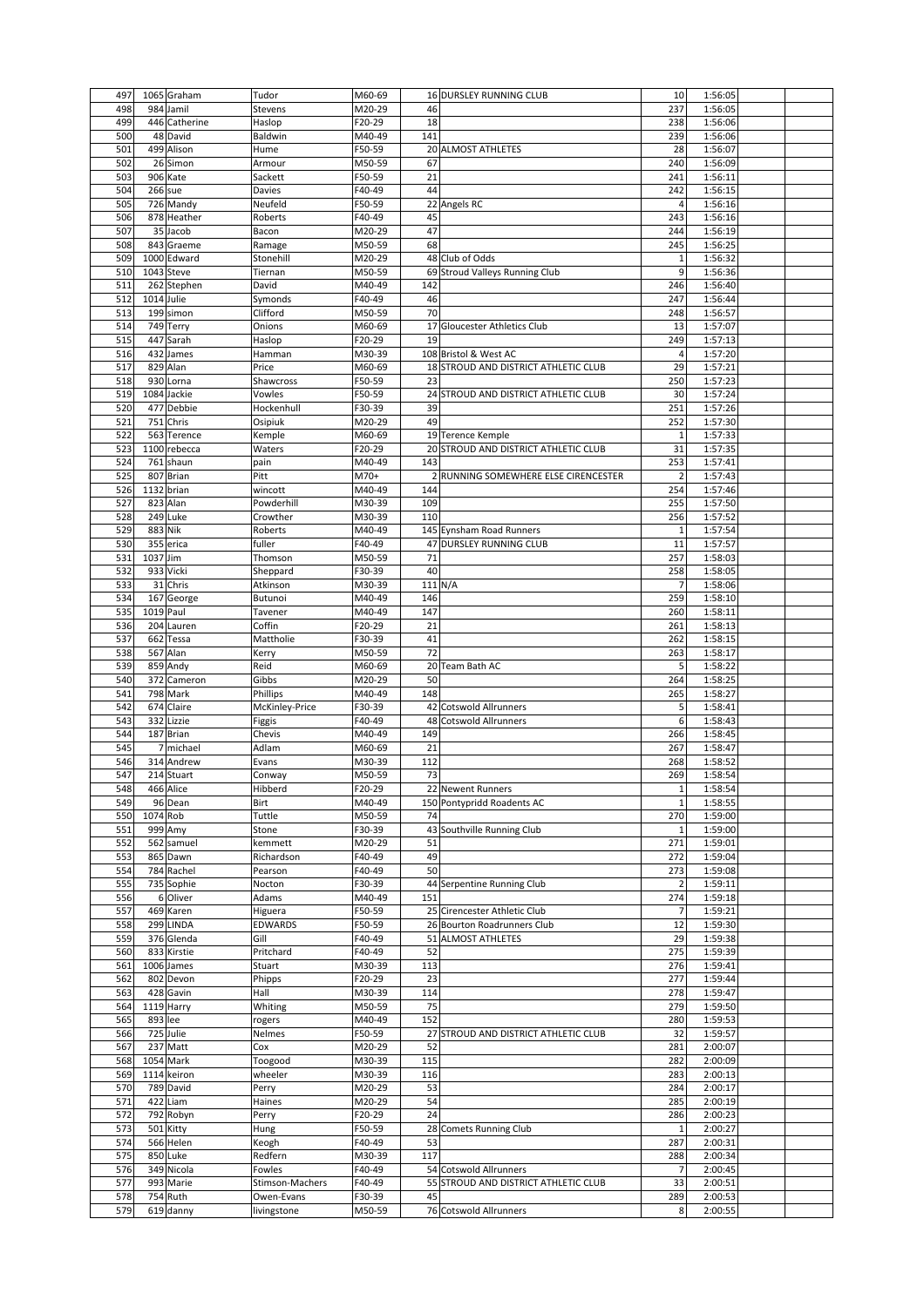| 497        |            | 1065 Graham           | Tudor                     | M60-69           | 16 DURSLEY RUNNING CLUB                 | 10             | 1:56:05            |  |
|------------|------------|-----------------------|---------------------------|------------------|-----------------------------------------|----------------|--------------------|--|
| 498        |            | 984 Jamil             | Stevens                   | M20-29           | 46                                      | 237            | 1:56:05            |  |
| 499        |            | 446 Catherine         | Haslop                    | F20-29           | 18                                      | 238            | 1:56:06            |  |
| 500        |            | 48 David              | Baldwin                   | M40-49           | 141                                     | 239            | 1:56:06            |  |
|            |            |                       |                           |                  |                                         |                |                    |  |
| 501        |            | 499 Alison            | Hume                      | F50-59           | 20 ALMOST ATHLETES                      | 28             | 1:56:07            |  |
| 502        |            | 26 Simon              | Armour                    | M50-59           | 67                                      | 240            | 1:56:09            |  |
| 503        |            | 906 Kate              | Sackett                   | F50-59           | 21                                      | 241            | 1:56:11            |  |
| 504        | 266 sue    |                       | Davies                    | F40-49           | 44                                      | 242            | 1:56:15            |  |
| 505        |            | 726 Mandy             | Neufeld                   | F50-59           | 22 Angels RC                            | 4              | 1:56:16            |  |
| 506        |            | 878 Heather           | Roberts                   | F40-49           | 45                                      | 243            | 1:56:16            |  |
| 507        |            | 35 Jacob              | Bacon                     | M20-29           | 47                                      | 244            | 1:56:19            |  |
| 508        |            | 843 Graeme            | Ramage                    | M50-59           | 68                                      | 245            | 1:56:25            |  |
| 509        |            | 1000 Edward           | Stonehill                 | M20-29           | 48 Club of Odds                         |                |                    |  |
|            |            |                       |                           |                  |                                         | $\mathbf{1}$   | 1:56:32            |  |
| 510        |            | 1043 Steve            | Tiernan                   | M50-59           | 69 Stroud Valleys Running Club          | 9              | 1:56:36            |  |
| 511        |            | 262 Stephen           | David                     | M40-49           | 142                                     | 246            | 1:56:40            |  |
| 512        | 1014 Julie |                       | Symonds                   | F40-49           | 46                                      | 247            | 1:56:44            |  |
| 513        |            | 199 simon             | Clifford                  | M50-59           | 70                                      | 248            | 1:56:57            |  |
| 514        |            | 749 Terry             | Onions                    | M60-69           | 17 Gloucester Athletics Club            | 13             | 1:57:07            |  |
| 515        |            | 447 Sarah             | Haslop                    | F20-29           | 19                                      | 249            | 1:57:13            |  |
| 516        |            | 432 James             |                           | M30-39           | 108 Bristol & West AC                   | 4              | 1:57:20            |  |
|            |            |                       | Hamman                    |                  |                                         |                |                    |  |
| 517        |            | 829 Alan              | Price                     | M60-69           | 18 STROUD AND DISTRICT ATHLETIC CLUB    | 29             | 1:57:21            |  |
| 518        |            | 930 Lorna             | Shawcross                 | F50-59           | 23                                      | 250            | 1:57:23            |  |
| 519        |            | 1084 Jackie           | Vowles                    | F50-59           | 24 STROUD AND DISTRICT ATHLETIC CLUB    | 30             | 1:57:24            |  |
| 520        |            | 477 Debbie            | Hockenhull                | F30-39           | 39                                      | 251            | 1:57:26            |  |
| 521        |            | 751 Chris             | Osipiuk                   | M20-29           | 49                                      | 252            | 1:57:30            |  |
| 522        |            | 563 Terence           | Kemple                    | M60-69           | 19 Terence Kemple                       | $\mathbf{1}$   | 1:57:33            |  |
|            |            |                       |                           |                  |                                         |                |                    |  |
| 523        |            | 1100 rebecca          | Waters                    | F20-29           | 20 STROUD AND DISTRICT ATHLETIC CLUB    | 31             | 1:57:35            |  |
| 524        |            | 761 shaun             | pain                      | M40-49           | 143                                     | 253            | 1:57:41            |  |
| 525        |            | 807 Brian             | Pitt                      | M70+             | 2 RUNNING SOMEWHERE ELSE CIRENCESTER    | $\overline{2}$ | 1:57:43            |  |
| 526        | 1132 brian |                       | wincott                   | M40-49           | 144                                     | 254            | 1:57:46            |  |
| 527        |            | 823 Alan              | Powderhill                | M30-39           | 109                                     | 255            | 1:57:50            |  |
| 528        |            | 249 Luke              | Crowther                  | M30-39           | 110                                     | 256            | 1:57:52            |  |
|            |            |                       |                           |                  |                                         |                |                    |  |
| 529        | 883 Nik    |                       | Roberts                   | M40-49           | 145 Eynsham Road Runners                | $\mathbf{1}$   | 1:57:54            |  |
| 530        |            | 355 erica             | fuller                    | F40-49           | 47 DURSLEY RUNNING CLUB                 | 11             | 1:57:57            |  |
| 531        | 1037 Jim   |                       | Thomson                   | M50-59           | 71                                      | 257            | 1:58:03            |  |
| 532        |            | 933 Vicki             | Sheppard                  | F30-39           | 40                                      | 258            | 1:58:05            |  |
| 533        |            | 31 Chris              | Atkinson                  | M30-39           | 111 N/A                                 | 7              | 1:58:06            |  |
| 534        |            | 167 George            | Butunoi                   | M40-49           | 146                                     | 259            | 1:58:10            |  |
|            |            |                       |                           |                  |                                         |                |                    |  |
| 535        | 1019 Paul  |                       | Tavener                   | M40-49           | 147                                     | 260            | 1:58:11            |  |
| 536        |            | 204 Lauren            | Coffin                    | F20-29           | 21                                      | 261            | 1:58:13            |  |
| 537        |            | 662 Tessa             | Mattholie                 | F30-39           | 41                                      | 262            | 1:58:15            |  |
| 538        |            | 567 Alan              | Kerry                     | M50-59           | 72                                      | 263            | 1:58:17            |  |
| 539        |            | 859 Andy              | Reid                      | M60-69           | 20 Team Bath AC                         | 5              | 1:58:22            |  |
| 540        |            | 372 Cameron           | Gibbs                     | M20-29           | 50                                      | 264            | 1:58:25            |  |
|            |            |                       |                           |                  | 148                                     |                |                    |  |
|            |            | 798 Mark              | Phillips                  | M40-49           |                                         | 265            | 1:58:27            |  |
| 541        |            |                       |                           |                  | 42 Cotswold Allrunners                  | 5              | 1:58:41            |  |
| 542        |            | 674 Claire            | McKinley-Price            | F30-39           |                                         |                |                    |  |
| 543        |            | 332 Lizzie            | Figgis                    | F40-49           | 48 Cotswold Allrunners                  | 6              | 1:58:43            |  |
| 544        |            | 187 Brian             | Chevis                    | M40-49           | 149                                     | 266            | 1:58:45            |  |
|            |            |                       |                           |                  |                                         |                |                    |  |
| 545        |            | 7 michael             | Adlam                     | M60-69           | 21                                      | 267            | 1:58:47            |  |
| 546        |            | 314 Andrew            | Evans                     | M30-39           | 112                                     | 268            | 1:58:52            |  |
| 547        |            | 214 Stuart            | Conway                    | M50-59           | 73                                      | 269            | 1:58:54            |  |
| 548        |            | 466 Alice             | Hibberd                   | F20-29           | 22 Newent Runners                       | 1              | 1:58:54            |  |
| 549        |            | 96 Dean               | Birt                      | M40-49           | 150 Pontypridd Roadents AC              | $\mathbf{1}$   | 1:58:55            |  |
| 550        | 1074 Rob   |                       | Tuttle                    | M50-59           | 74                                      | 270            | 1:59:00            |  |
| 551        |            | 999 Amy               | Stone                     | F30-39           | 43 Southville Running Club              | $\mathbf{1}$   | 1:59:00            |  |
| 552        |            | 562 samuel            | kemmett                   | M20-29           | 51                                      | 271            |                    |  |
|            |            |                       |                           |                  |                                         |                | 1:59:01            |  |
| 553        |            | 865 Dawn              | Richardson                | F40-49           | 49                                      | 272            | 1:59:04            |  |
| 554        |            | 784 Rachel            | Pearson                   | F40-49           | 50                                      | 273            | 1:59:08            |  |
| 555        |            | 735 Sophie            | Nocton                    | F30-39           | 44 Serpentine Running Club              | $\overline{2}$ | 1:59:11            |  |
| 556        |            | 6 Oliver              | Adams                     | M40-49           | 151                                     | 274            | 1:59:18            |  |
| 557        |            | 469 Karen             | Higuera                   | F50-59           | 25 Cirencester Athletic Club            | 7              | 1:59:21            |  |
| 558        |            | 299 LINDA             | <b>EDWARDS</b>            | F50-59           | 26 Bourton Roadrunners Club             | 12             | 1:59:30            |  |
| 559        |            | 376 Glenda            | Gill                      | F40-49           | 51 ALMOST ATHLETES                      | 29             | 1:59:38            |  |
|            |            |                       |                           |                  |                                         |                |                    |  |
| 560        |            | 833 Kirstie           | Pritchard                 | F40-49           | 52                                      | 275            | 1:59:39            |  |
| 561        |            | 1006 James            | Stuart                    | M30-39           | 113                                     | 276            | 1:59:41            |  |
| 562        |            | 802 Devon             | Phipps                    | F20-29           | 23                                      | 277            | 1:59:44            |  |
| 563        |            | 428 Gavin             | Hall                      | M30-39           | 114                                     | 278            | 1:59:47            |  |
| 564        |            | 1119 Harry            | Whiting                   | M50-59           | 75                                      | 279            | 1:59:50            |  |
| 565        | 893 lee    |                       | rogers                    | M40-49           | 152                                     | 280            | 1:59:53            |  |
|            |            |                       |                           |                  |                                         |                |                    |  |
| 566        |            | 725 Julie             | Nelmes                    | F50-59           | 27<br>STROUD AND DISTRICT ATHLETIC CLUB | 32             | 1:59:57            |  |
| 567        |            | 237 Matt              | Cox                       | M20-29           | 52                                      | 281            | 2:00:07            |  |
| 568        |            | 1054 Mark             | Toogood                   | M30-39           | 115                                     | 282            | 2:00:09            |  |
| 569        |            | 1114 keiron           | wheeler                   | M30-39           | 116                                     | 283            | 2:00:13            |  |
| 570        |            | 789 David             | Perry                     | M20-29           | 53                                      | 284            | 2:00:17            |  |
| 571        |            | 422 Liam              | Haines                    | M20-29           | 54                                      | 285            | 2:00:19            |  |
|            |            |                       |                           |                  | 24                                      |                |                    |  |
| 572        |            | 792 Robyn             | Perry                     | F20-29           |                                         | 286            | 2:00:23            |  |
| 573        |            | 501 Kitty             | Hung                      | F50-59           | 28<br><b>Comets Running Club</b>        | $\mathbf{1}$   | 2:00:27            |  |
| 574        |            | 566 Helen             | Keogh                     | F40-49           | 53                                      | 287            | 2:00:31            |  |
| 575        |            | 850 Luke              | Redfern                   | M30-39           | 117                                     | 288            | 2:00:34            |  |
| 576        |            | 349 Nicola            | Fowles                    | F40-49           | 54 Cotswold Allrunners                  | 7              | 2:00:45            |  |
| 577        |            | 993 Marie             | Stimson-Machers           | F40-49           | STROUD AND DISTRICT ATHLETIC CLUB<br>55 | 33             | 2:00:51            |  |
|            |            |                       |                           |                  |                                         |                |                    |  |
| 578<br>579 |            | 754 Ruth<br>619 danny | Owen-Evans<br>livingstone | F30-39<br>M50-59 | 45<br>76 Cotswold Allrunners            | 289<br>8       | 2:00:53<br>2:00:55 |  |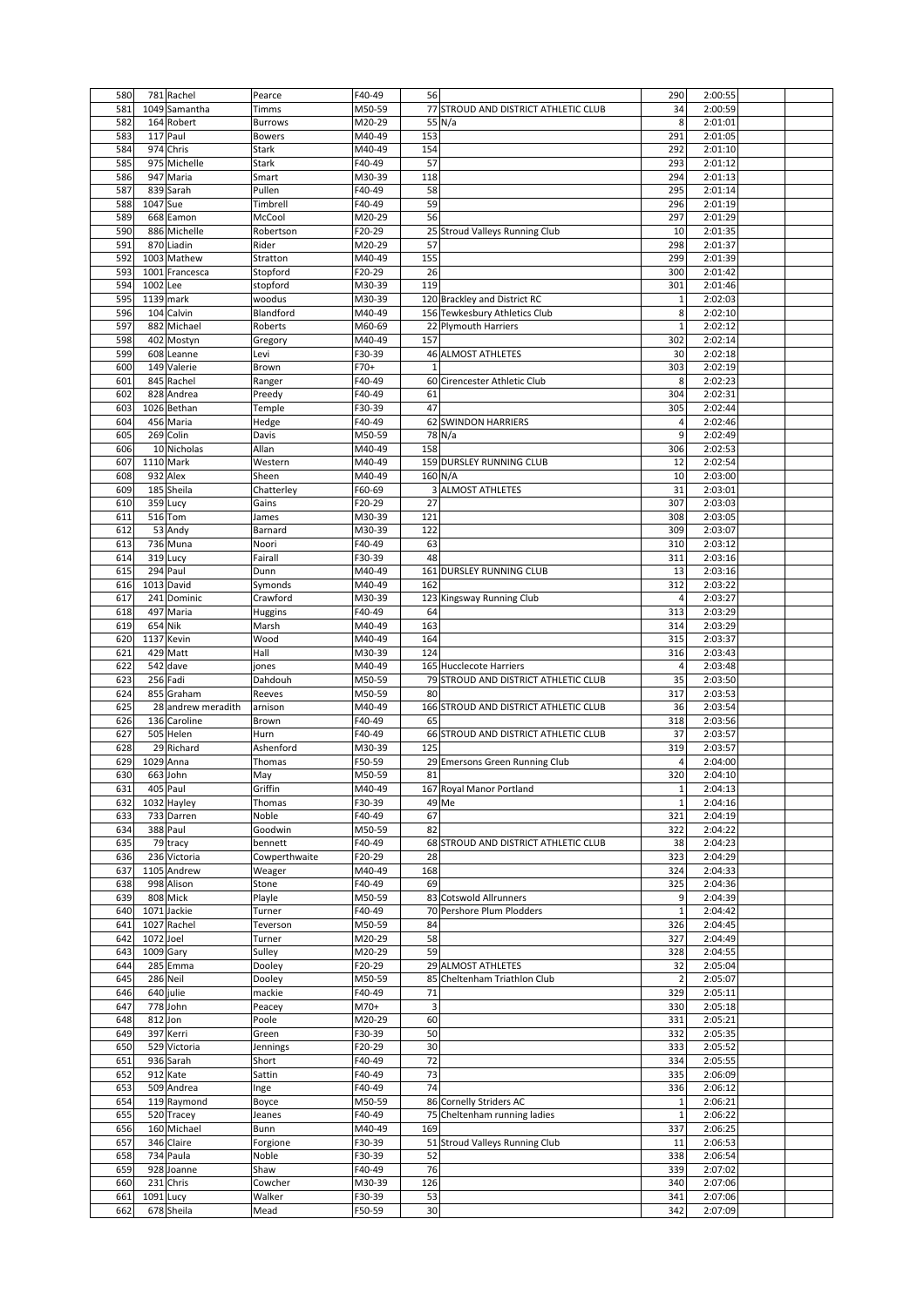| 580        |           | 781 Rachel         | Pearce         | F40-49           | 56             |                                       | 290            | 2:00:55            |  |
|------------|-----------|--------------------|----------------|------------------|----------------|---------------------------------------|----------------|--------------------|--|
| 581        |           | 1049 Samantha      | Timms          | M50-59           |                | 77 STROUD AND DISTRICT ATHLETIC CLUB  | 34             | 2:00:59            |  |
|            |           |                    |                |                  |                |                                       |                |                    |  |
| 582        |           | 164 Robert         | <b>Burrows</b> | M20-29           |                | 55 N/a                                | 8              | 2:01:01            |  |
| 583        |           | 117 Paul           | <b>Bowers</b>  | M40-49           | 153            |                                       | 291            | 2:01:05            |  |
| 584        |           | 974 Chris          | Stark          | M40-49           | 154            |                                       | 292            | 2:01:10            |  |
| 585        |           | 975 Michelle       | Stark          | F40-49           | 57             |                                       | 293            | 2:01:12            |  |
| 586        |           | 947 Maria          | Smart          | M30-39           | 118            |                                       | 294            | 2:01:13            |  |
|            |           |                    |                |                  |                |                                       |                |                    |  |
| 587        |           | 839 Sarah          | Pullen         | F40-49           | 58             |                                       | 295            | 2:01:14            |  |
| 588        | 1047 Sue  |                    | Timbrell       | F40-49           | 59             |                                       | 296            | 2:01:19            |  |
| 589        |           | 668 Eamon          | McCool         | M20-29           | 56             |                                       | 297            | 2:01:29            |  |
| 590        |           | 886 Michelle       | Robertson      | F20-29           |                | 25 Stroud Valleys Running Club        | 10             | 2:01:35            |  |
|            |           |                    |                |                  |                |                                       |                |                    |  |
| 591        |           | 870 Liadin         | Rider          | M20-29           | 57             |                                       | 298            | 2:01:37            |  |
| 592        |           | 1003 Mathew        | Stratton       | M40-49           | 155            |                                       | 299            | 2:01:39            |  |
| 593        |           | 1001 Francesca     | Stopford       | F20-29           | 26             |                                       | 300            | 2:01:42            |  |
| 594        | 1002 Lee  |                    | stopford       | M30-39           | 119            |                                       | 301            | 2:01:46            |  |
|            |           |                    |                |                  |                |                                       |                |                    |  |
| 595        |           | 1139 mark          | woodus         | M30-39           |                | 120 Brackley and District RC          | $\mathbf{1}$   | 2:02:03            |  |
| 596        |           | 104 Calvin         | Blandford      | M40-49           |                | 156 Tewkesbury Athletics Club         | 8              | 2:02:10            |  |
| 597        |           | 882 Michael        | Roberts        | M60-69           |                | 22 Plymouth Harriers                  | $\mathbf{1}$   | 2:02:12            |  |
| 598        |           | 402 Mostyn         |                |                  | 157            |                                       | 302            | 2:02:14            |  |
|            |           |                    | Gregory        | M40-49           |                |                                       |                |                    |  |
| 599        |           | 608 Leanne         | Levi           | F30-39           |                | 46 ALMOST ATHLETES                    | 30             | 2:02:18            |  |
| 600        |           | 149 Valerie        | Brown          | F70+             | $\mathbf{1}$   |                                       | 303            | 2:02:19            |  |
| 601        |           | 845 Rachel         | Ranger         | F40-49           |                | 60 Cirencester Athletic Club          | 8              | 2:02:23            |  |
|            |           |                    |                |                  |                |                                       |                |                    |  |
| 602        |           | 828 Andrea         | Preedy         | F40-49           | 61             |                                       | 304            | 2:02:31            |  |
| 603        |           | 1026 Bethan        | Temple         | F30-39           | 47             |                                       | 305            | 2:02:44            |  |
| 604        |           | 456 Maria          | Hedge          | F40-49           |                | 62 SWINDON HARRIERS                   | 4              | 2:02:46            |  |
| 605        |           | 269 Colin          | Davis          | M50-59           |                | 78 N/a                                | 9              | 2:02:49            |  |
|            |           | 10 Nicholas        |                |                  |                |                                       |                |                    |  |
| 606        |           |                    | Allan          | M40-49           | 158            |                                       | 306            | 2:02:53            |  |
| 607        |           | 1110 Mark          | Western        | M40-49           |                | 159 DURSLEY RUNNING CLUB              | 12             | 2:02:54            |  |
| 608        |           | 932 Alex           | Sheen          | M40-49           |                | 160 N/A                               | 10             | 2:03:00            |  |
| 609        |           | 185 Sheila         | Chatterley     | F60-69           |                | 3 ALMOST ATHLETES                     | 31             | 2:03:01            |  |
|            |           |                    |                |                  |                |                                       |                |                    |  |
| 610        |           | 359 Lucy           | Gains          | F20-29           | 27             |                                       | 307            | 2:03:03            |  |
| 611        |           | 516 Tom            | James          | M30-39           | 121            |                                       | 308            | 2:03:05            |  |
| 612        |           | 53 Andy            | Barnard        | M30-39           | 122            |                                       | 309            | 2:03:07            |  |
|            |           |                    |                |                  |                |                                       |                |                    |  |
| 613        |           | 736 Muna           | Noori          | F40-49           | 63             |                                       | 310            | 2:03:12            |  |
| 614        |           | 319 Lucy           | Fairall        | F30-39           | 48             |                                       | 311            | 2:03:16            |  |
| 615        |           | 294 Paul           | Dunn           | M40-49           |                | 161 DURSLEY RUNNING CLUB              | 13             | 2:03:16            |  |
| 616        |           | 1013 David         | Symonds        | M40-49           | 162            |                                       | 312            | 2:03:22            |  |
|            |           |                    |                |                  |                |                                       |                |                    |  |
| 617        |           | 241 Dominic        | Crawford       | M30-39           |                | 123 Kingsway Running Club             | $\overline{4}$ | 2:03:27            |  |
| 618        |           | 497 Maria          | Huggins        | F40-49           | 64             |                                       | 313            | 2:03:29            |  |
| 619        | 654 Nik   |                    | Marsh          | M40-49           | 163            |                                       | 314            | 2:03:29            |  |
| 620        |           | 1137 Kevin         | Wood           | M40-49           | 164            |                                       | 315            | 2:03:37            |  |
|            |           |                    |                |                  | 124            |                                       |                |                    |  |
|            |           |                    |                |                  |                |                                       |                |                    |  |
| 621        |           | 429 Matt           | Hall           | M30-39           |                |                                       | 316            | 2:03:43            |  |
| 622        |           | 542 dave           | jones          | M40-49           |                | 165 Hucclecote Harriers               | 4              | 2:03:48            |  |
| 623        |           |                    | Dahdouh        |                  |                |                                       |                |                    |  |
|            |           | 256 Fadi           |                | M50-59           |                | 79 STROUD AND DISTRICT ATHLETIC CLUB  | 35             | 2:03:50            |  |
| 624        |           | 855 Graham         | Reeves         | M50-59           | 80             |                                       | 317            | 2:03:53            |  |
| 625        |           | 28 andrew meradith | arnison        | M40-49           |                | 166 STROUD AND DISTRICT ATHLETIC CLUB | 36             | 2:03:54            |  |
| 626        |           | 136 Caroline       | Brown          | F40-49           | 65             |                                       | 318            | 2:03:56            |  |
|            |           |                    |                |                  |                |                                       | 37             |                    |  |
| 627        |           | 505 Helen          | Hurn           | F40-49           |                | 66 STROUD AND DISTRICT ATHLETIC CLUB  |                | 2:03:57            |  |
| 628        |           | 29 Richard         | Ashenford      | M30-39           | 125            |                                       | 319            | 2:03:57            |  |
| 629        |           | 1029 Anna          | Thomas         | F50-59           |                | 29 Emersons Green Running Club        | 4              | 2:04:00            |  |
| 630        |           | 663 John           | May            | M50-59           | 81             |                                       | 320            | 2:04:10            |  |
|            |           |                    |                |                  |                |                                       |                |                    |  |
| 631        |           | 405 Paul           | Griffin        | M40-49           |                | 167 Royal Manor Portland              | 1              | 2:04:13            |  |
| 632        |           | 1032 Hayley        | Thomas         | F30-39           |                | 49 Me                                 | $\mathbf{1}$   | 2:04:16            |  |
| 633        |           | 733 Darren         | Noble          | F40-49           | 67             |                                       | 321            | 2:04:19            |  |
| 634        |           | 388 Paul           | Goodwin        | M50-59           | 82             |                                       | 322            | 2:04:22            |  |
| 635        |           | 79 tracy           | bennett        | F40-49           |                | 68 STROUD AND DISTRICT ATHLETIC CLUB  | 38             | 2:04:23            |  |
|            |           |                    |                |                  |                |                                       |                |                    |  |
| 636        |           | 236 Victoria       | Cowperthwaite  | F20-29           | 28             |                                       | 323            | 2:04:29            |  |
| 637        |           | 1105 Andrew        | Weager         | M40-49           | 168            |                                       | 324            | 2:04:33            |  |
| 638        |           | 998 Alison         | Stone          | F40-49           | 69             |                                       | 325            | 2:04:36            |  |
| 639        |           | 808 Mick           | Playle         | M50-59           |                | 83 Cotswold Allrunners                | 9              | 2:04:39            |  |
|            |           |                    |                |                  |                |                                       | $\mathbf{1}$   |                    |  |
| 640        |           | 1071 Jackie        | Turner         | F40-49           |                | 70 Pershore Plum Plodders             |                | 2:04:42            |  |
| 641        |           | 1027 Rachel        | Teverson       | M50-59           | 84             |                                       | 326            | 2:04:45            |  |
| 642        | 1072 Joel |                    | Turner         | M20-29           | 58             |                                       | 327            | 2:04:49            |  |
| 643        | 1009 Gary |                    | Sulley         | M20-29           | 59             |                                       | 328            | 2:04:55            |  |
| 644        |           | 285 Emma           | Dooley         | F20-29           |                | 29 ALMOST ATHLETES                    | 32             | 2:05:04            |  |
|            |           |                    |                |                  |                |                                       |                |                    |  |
| 645        |           | 286 Neil           | Dooley         | M50-59           |                | 85 Cheltenham Triathlon Club          | $\overline{2}$ | 2:05:07            |  |
| 646        |           | 640 julie          | mackie         | F40-49           | 71             |                                       | 329            | 2:05:11            |  |
| 647        |           | 778 John           | Peacey         | M70+             | $\overline{3}$ |                                       | 330            | 2:05:18            |  |
| 648        | 812 Jon   |                    | Poole          | M20-29           | 60             |                                       | 331            | 2:05:21            |  |
|            |           |                    |                |                  |                |                                       |                |                    |  |
| 649        |           | 397 Kerri          | Green          | F30-39           | 50             |                                       | 332            | 2:05:35            |  |
| 650        |           | 529 Victoria       | Jennings       | F20-29           | 30             |                                       | 333            | 2:05:52            |  |
| 651        |           | 936 Sarah          | Short          | F40-49           | 72             |                                       | 334            | 2:05:55            |  |
| 652        |           | 912 Kate           | Sattin         | F40-49           | 73             |                                       | 335            | 2:06:09            |  |
|            |           |                    |                |                  |                |                                       |                |                    |  |
| 653        |           | 509 Andrea         | Inge           | F40-49           | 74             |                                       | 336            | 2:06:12            |  |
| 654        |           | 119 Raymond        | Boyce          | M50-59           |                | 86 Cornelly Striders AC               | $\mathbf{1}$   | 2:06:21            |  |
| 655        |           | 520 Tracey         | Jeanes         | F40-49           | 75             | Cheltenham running ladies             | $\mathbf{1}$   | 2:06:22            |  |
| 656        |           | 160 Michael        | Bunn           | M40-49           | 169            |                                       | 337            | 2:06:25            |  |
|            |           |                    |                |                  |                |                                       |                |                    |  |
| 657        |           | 346 Claire         | Forgione       | F30-39           |                | 51 Stroud Valleys Running Club        | 11             | 2:06:53            |  |
| 658        |           | 734 Paula          | Noble          | F30-39           | 52             |                                       | 338            | 2:06:54            |  |
| 659        |           | 928 Joanne         | Shaw           | F40-49           | 76             |                                       | 339            | 2:07:02            |  |
| 660        |           | 231 Chris          | Cowcher        | M30-39           | 126            |                                       | 340            | 2:07:06            |  |
|            |           |                    |                |                  |                |                                       |                |                    |  |
| 661<br>662 | 1091 Lucy | 678 Sheila         | Walker<br>Mead | F30-39<br>F50-59 | 53<br>30       |                                       | 341<br>342     | 2:07:06<br>2:07:09 |  |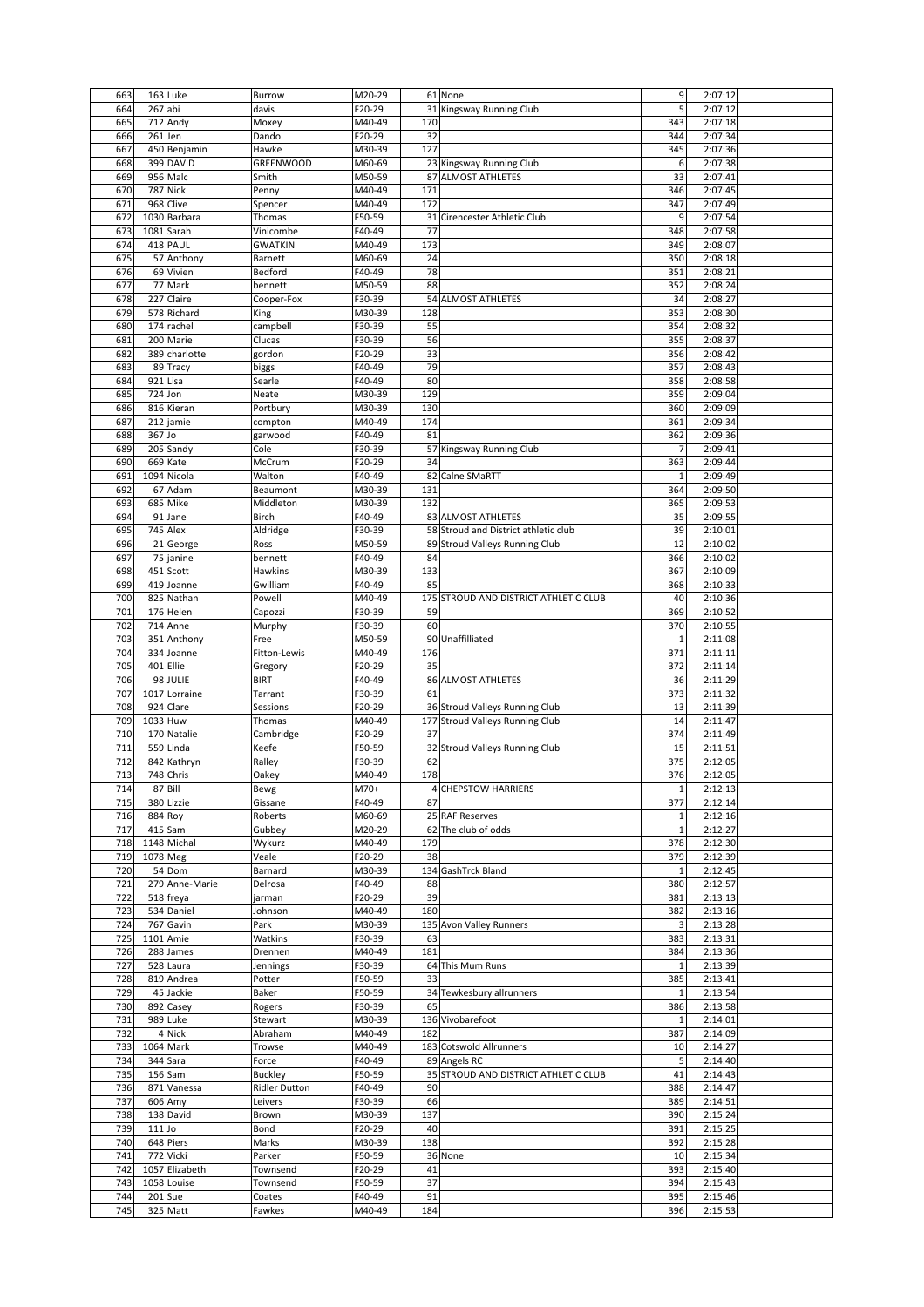| 663 |                | 163 Luke        | <b>Burrow</b>        | M20-29 |     | 61 None                               | 9              | 2:07:12            |  |
|-----|----------------|-----------------|----------------------|--------|-----|---------------------------------------|----------------|--------------------|--|
| 664 | 267 abi        |                 | davis                | F20-29 |     | 31 Kingsway Running Club              | 5              | 2:07:12            |  |
|     |                |                 |                      |        |     |                                       |                |                    |  |
| 665 |                | 712 Andy        | Moxey                | M40-49 | 170 |                                       | 343            | 2:07:18            |  |
| 666 | 261 Jen        |                 | Dando                | F20-29 | 32  |                                       | 344            | 2:07:34            |  |
| 667 |                | 450 Benjamin    | Hawke                | M30-39 | 127 |                                       | 345            | 2:07:36            |  |
| 668 |                | 399 DAVID       | GREENWOOD            | M60-69 |     | 23 Kingsway Running Club              | 6              | 2:07:38            |  |
| 669 |                | 956 Malc        | Smith                | M50-59 |     | 87 ALMOST ATHLETES                    | 33             | 2:07:41            |  |
|     |                |                 |                      |        |     |                                       |                |                    |  |
| 670 |                | <b>787 Nick</b> | Penny                | M40-49 | 171 |                                       | 346            | 2:07:45            |  |
| 671 |                | 968 Clive       | Spencer              | M40-49 | 172 |                                       | 347            | 2:07:49            |  |
| 672 |                | 1030 Barbara    | Thomas               | F50-59 | 31  | Cirencester Athletic Club             | 9              | 2:07:54            |  |
| 673 |                | 1081 Sarah      | Vinicombe            | F40-49 | 77  |                                       | 348            | 2:07:58            |  |
|     |                |                 |                      |        |     |                                       |                |                    |  |
| 674 |                | 418 PAUL        | <b>GWATKIN</b>       | M40-49 | 173 |                                       | 349            | 2:08:07            |  |
| 675 |                | 57 Anthony      | <b>Barnett</b>       | M60-69 | 24  |                                       | 350            | 2:08:18            |  |
| 676 |                | 69 Vivien       | Bedford              | F40-49 | 78  |                                       | 351            | 2:08:21            |  |
| 677 |                | 77 Mark         | bennett              | M50-59 | 88  |                                       | 352            | 2:08:24            |  |
|     |                | 227 Claire      |                      |        |     |                                       |                |                    |  |
| 678 |                |                 | Cooper-Fox           | F30-39 |     | 54 ALMOST ATHLETES                    | 34             | 2:08:27            |  |
| 679 |                | 578 Richard     | King                 | M30-39 | 128 |                                       | 353            | 2:08:30            |  |
| 680 |                | 174 rachel      | campbell             | F30-39 | 55  |                                       | 354            | 2:08:32            |  |
| 681 |                | 200 Marie       | Clucas               | F30-39 | 56  |                                       | 355            | 2:08:37            |  |
|     |                |                 |                      |        |     |                                       |                |                    |  |
| 682 |                | 389 charlotte   | gordon               | F20-29 | 33  |                                       | 356            | 2:08:42            |  |
| 683 |                | 89 Tracy        | biggs                | F40-49 | 79  |                                       | 357            | 2:08:43            |  |
| 684 | 921 Lisa       |                 | Searle               | F40-49 | 80  |                                       | 358            | 2:08:58            |  |
| 685 | 724 Jon        |                 | Neate                | M30-39 | 129 |                                       | 359            | 2:09:04            |  |
|     |                |                 |                      |        |     |                                       |                |                    |  |
| 686 |                | 816 Kieran      | Portbury             | M30-39 | 130 |                                       | 360            | 2:09:09            |  |
| 687 |                | 212 jamie       | compton              | M40-49 | 174 |                                       | 361            | 2:09:34            |  |
| 688 | 367 Jo         |                 | garwood              | F40-49 | 81  |                                       | 362            | 2:09:36            |  |
|     |                |                 |                      |        |     |                                       |                |                    |  |
| 689 |                | 205 Sandy       | Cole                 | F30-39 |     | 57 Kingsway Running Club              | $\overline{7}$ | 2:09:41            |  |
| 690 |                | 669 Kate        | McCrum               | F20-29 | 34  |                                       | 363            | 2:09:44            |  |
| 691 |                | 1094 Nicola     | Walton               | F40-49 |     | 82 Calne SMaRTT                       | $\mathbf{1}$   | 2:09:49            |  |
| 692 |                | 67 Adam         | Beaumont             | M30-39 | 131 |                                       | 364            | 2:09:50            |  |
|     |                |                 |                      |        |     |                                       |                |                    |  |
| 693 |                | 685 Mike        | Middleton            | M30-39 | 132 |                                       | 365            | 2:09:53            |  |
| 694 |                | 91 Jane         | Birch                | F40-49 |     | 83 ALMOST ATHLETES                    | 35             | 2:09:55            |  |
| 695 |                | 745 Alex        | Aldridge             | F30-39 |     | 58 Stroud and District athletic club  | 39             | 2:10:01            |  |
|     |                |                 |                      |        |     |                                       |                |                    |  |
| 696 |                | 21 George       | Ross                 | M50-59 |     | 89 Stroud Valleys Running Club        | 12             | 2:10:02            |  |
| 697 |                | 75 janine       | bennett              | F40-49 | 84  |                                       | 366            | 2:10:02            |  |
| 698 |                | 451 Scott       | Hawkins              | M30-39 | 133 |                                       | 367            | 2:10:09            |  |
| 699 |                | 419 Joanne      | Gwilliam             | F40-49 | 85  |                                       | 368            | 2:10:33            |  |
|     |                |                 |                      |        |     |                                       |                |                    |  |
| 700 |                | 825 Nathan      | Powell               | M40-49 |     | 175 STROUD AND DISTRICT ATHLETIC CLUB | 40             | 2:10:36            |  |
| 701 |                | 176 Helen       | Capozzi              | F30-39 | 59  |                                       | 369            | 2:10:52            |  |
| 702 |                | 714 Anne        | Murphy               | F30-39 | 60  |                                       | 370            | 2:10:55            |  |
| 703 |                | 351 Anthony     | Free                 |        |     | 90 Unaffilliated                      | $\mathbf 1$    | 2:11:08            |  |
|     |                |                 |                      | M50-59 |     |                                       |                |                    |  |
| 704 |                | 334 Joanne      | Fitton-Lewis         | M40-49 | 176 |                                       | 371            | 2:11:11            |  |
| 705 |                | 401 Ellie       | Gregory              | F20-29 | 35  |                                       | 372            | 2:11:14            |  |
| 706 |                | 98 JULIE        | <b>BIRT</b>          | F40-49 |     | 86 ALMOST ATHLETES                    | 36             | 2:11:29            |  |
|     |                |                 |                      |        |     |                                       |                |                    |  |
| 707 |                | 1017 Lorraine   | Tarrant              | F30-39 | 61  |                                       | 373            | 2:11:32            |  |
| 708 |                | 924 Clare       | Sessions             | F20-29 |     | 36 Stroud Valleys Running Club        | 13             | 2:11:39            |  |
| 709 | 1033 Huw       |                 | Thomas               | M40-49 |     | 177 Stroud Valleys Running Club       | 14             | 2:11:47            |  |
| 710 |                | 170 Natalie     | Cambridge            | F20-29 | 37  |                                       | 374            | 2:11:49            |  |
|     |                |                 |                      |        |     |                                       |                |                    |  |
| 711 |                | 559 Linda       | Keefe                | F50-59 |     | 32 Stroud Valleys Running Club        | 15             |                    |  |
| 712 |                | 842 Kathryn     | Ralley               | F30-39 |     |                                       |                | 2:11:51            |  |
|     |                |                 |                      |        | 62  |                                       | 375            | 2:12:05            |  |
|     |                |                 |                      |        |     |                                       |                |                    |  |
| 713 |                | 748 Chris       | Oakey                | M40-49 | 178 |                                       | 376            | 2:12:05            |  |
| 714 |                | 87 Bill         | Bewg                 | M70+   |     | 4 CHEPSTOW HARRIERS                   | $\mathbf{1}$   | 2:12:13            |  |
| 715 |                | 380 Lizzie      | Gissane              | F40-49 | 87  |                                       | 377            | 2:12:14            |  |
| 716 | 884 Roy        |                 | Roberts              | M60-69 |     | 25 RAF Reserves                       | $\mathbf{1}$   | 2:12:16            |  |
|     |                |                 |                      |        |     |                                       | $1\,$          |                    |  |
| 717 |                | 415 Sam         | Gubbey               | M20-29 |     | 62 The club of odds                   |                | 2:12:27            |  |
| 718 |                | 1148 Michal     | Wykurz               | M40-49 | 179 |                                       | 378            | 2:12:30            |  |
| 719 | 1078 Meg       |                 | Veale                | F20-29 | 38  |                                       | 379            | 2:12:39            |  |
| 720 |                | 54 Dom          | Barnard              | M30-39 |     | 134 GashTrck Bland                    | $\mathbf{1}$   | 2:12:45            |  |
| 721 |                | 279 Anne-Marie  | Delrosa              | F40-49 | 88  |                                       | 380            | 2:12:57            |  |
|     |                |                 |                      |        |     |                                       |                |                    |  |
| 722 |                | 518 freya       | jarman               | F20-29 | 39  |                                       | 381            | 2:13:13            |  |
| 723 |                | 534 Daniel      | Johnson              | M40-49 | 180 |                                       | 382            | 2:13:16            |  |
| 724 |                | 767 Gavin       | Park                 | M30-39 |     | 135 Avon Valley Runners               | 3              | 2:13:28            |  |
| 725 |                | 1101 Amie       | Watkins              | F30-39 | 63  |                                       | 383            | 2:13:31            |  |
|     |                |                 |                      |        |     |                                       |                |                    |  |
| 726 |                | 288 James       | Drennen              | M40-49 | 181 |                                       | 384            | 2:13:36            |  |
| 727 |                | 528 Laura       | Jennings             | F30-39 |     | 64 This Mum Runs                      | $\mathbf 1$    | 2:13:39            |  |
| 728 |                | 819 Andrea      | Potter               | F50-59 | 33  |                                       | 385            | 2:13:41            |  |
| 729 |                | 45 Jackie       | Baker                | F50-59 |     | 34 Tewkesbury allrunners              | 1              | 2:13:54            |  |
|     |                |                 |                      |        |     |                                       |                |                    |  |
| 730 |                | 892 Casey       | Rogers               | F30-39 | 65  |                                       | 386            | 2:13:58            |  |
| 731 |                | 989 Luke        | Stewart              | M30-39 |     | 136 Vivobarefoot                      | $\mathbf{1}$   | 2:14:01            |  |
| 732 |                | 4 Nick          | Abraham              | M40-49 | 182 |                                       | 387            | 2:14:09            |  |
| 733 |                | 1064 Mark       |                      | M40-49 |     | 183 Cotswold Allrunners               | 10             |                    |  |
|     |                |                 | Trowse               |        |     |                                       |                | 2:14:27            |  |
| 734 |                | 344 Sara        | Force                | F40-49 |     | 89 Angels RC                          | 5              | 2:14:40            |  |
| 735 |                | 156 Sam         | <b>Buckley</b>       | F50-59 |     | 35 STROUD AND DISTRICT ATHLETIC CLUB  | 41             | 2:14:43            |  |
| 736 |                | 871 Vanessa     | <b>Ridler Dutton</b> | F40-49 | 90  |                                       | 388            | 2:14:47            |  |
| 737 |                | 606 Amy         | Leivers              | F30-39 | 66  |                                       | 389            | 2:14:51            |  |
|     |                |                 |                      |        |     |                                       |                |                    |  |
| 738 |                | 138 David       | Brown                | M30-39 | 137 |                                       | 390            | 2:15:24            |  |
| 739 | $111$ Jo       |                 | Bond                 | F20-29 | 40  |                                       | 391            | 2:15:25            |  |
| 740 |                | 648 Piers       | Marks                | M30-39 | 138 |                                       | 392            | 2:15:28            |  |
|     |                |                 |                      |        |     |                                       |                |                    |  |
| 741 |                | 772 Vicki       | Parker               | F50-59 |     | 36 None                               | 10             | 2:15:34            |  |
| 742 |                | 1057 Elizabeth  | Townsend             | F20-29 | 41  |                                       | 393            | 2:15:40            |  |
| 743 |                | 1058 Louise     | Townsend             | F50-59 | 37  |                                       | 394            | 2:15:43            |  |
| 744 | <b>201 Sue</b> |                 |                      | F40-49 | 91  |                                       | 395            |                    |  |
| 745 |                | 325 Matt        | Coates<br>Fawkes     | M40-49 | 184 |                                       | 396            | 2:15:46<br>2:15:53 |  |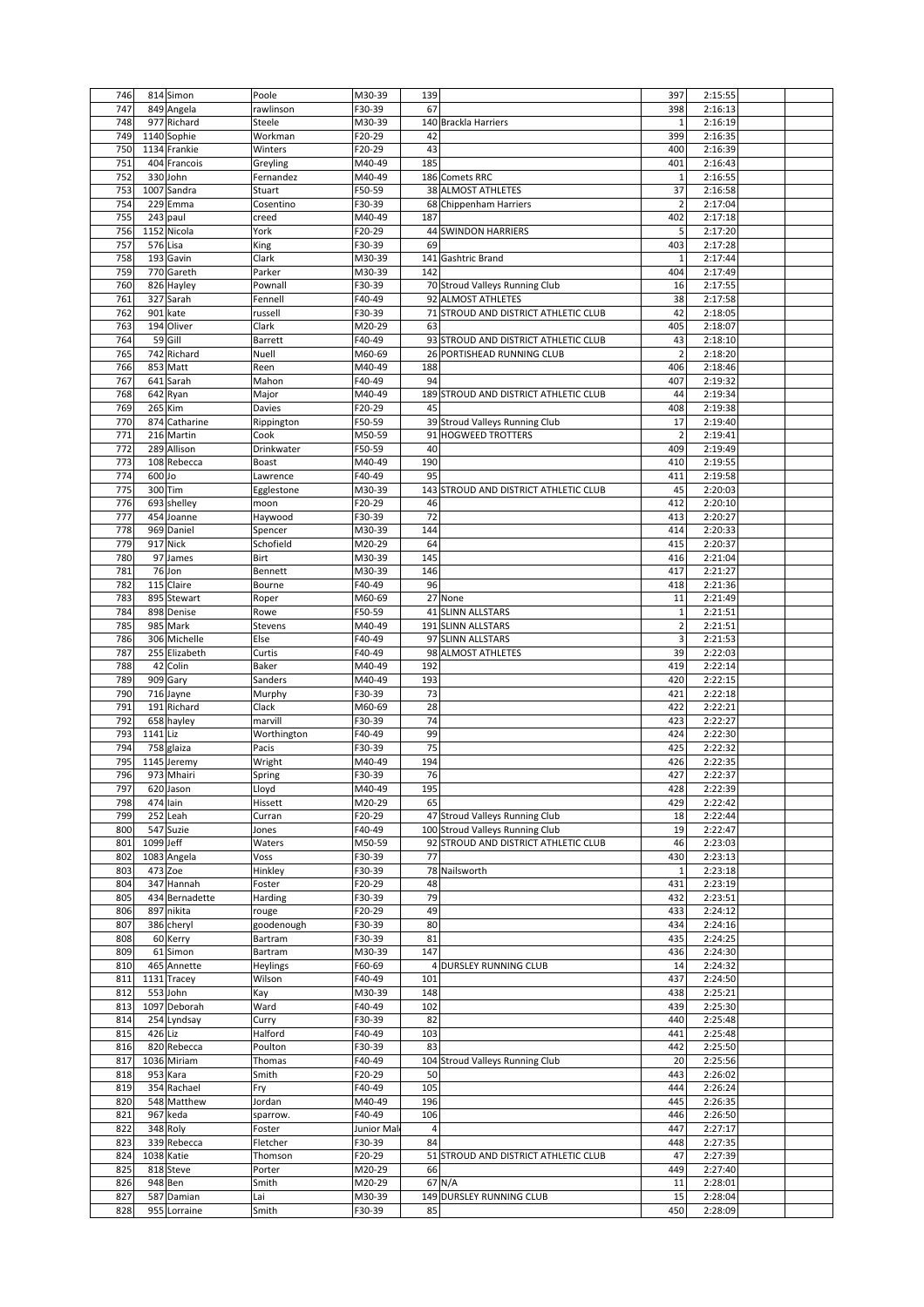| 746        |           | 814 Simon                  | Poole        | M30-39           | 139                                      | 397            | 2:15:55            |  |
|------------|-----------|----------------------------|--------------|------------------|------------------------------------------|----------------|--------------------|--|
| 747        |           | 849 Angela                 | rawlinson    | F30-39           | 67                                       | 398            | 2:16:13            |  |
| 748        |           | 977 Richard                | Steele       | M30-39           | 140 Brackla Harriers                     | $\mathbf{1}$   | 2:16:19            |  |
| 749        |           | 1140 Sophie                | Workman      | F20-29           | 42                                       | 399            | 2:16:35            |  |
| 750        |           | 1134 Frankie               | Winters      | F20-29           | 43                                       | 400            | 2:16:39            |  |
| 751        |           | 404 Francois               | Greyling     | M40-49           | 185                                      | 401            | 2:16:43            |  |
| 752        |           | 330 John                   | Fernandez    | M40-49           | 186 Comets RRC                           | $\mathbf{1}$   | 2:16:55            |  |
| 753        |           | 1007 Sandra                | Stuart       | F50-59           | 38 ALMOST ATHLETES                       | 37             | 2:16:58            |  |
| 754        |           | 229 Emma                   | Cosentino    | F30-39           | 68 Chippenham Harriers                   | $\overline{2}$ | 2:17:04            |  |
| 755        |           | 243 paul                   | creed        | M40-49           | 187                                      | 402            | 2:17:18            |  |
| 756        |           | 1152 Nicola                | York         | F20-29           | 44 SWINDON HARRIERS                      | 5              | 2:17:20            |  |
| 757        | 576 Lisa  |                            | King         | F30-39           | 69                                       | 403            | 2:17:28            |  |
| 758        |           | 193 Gavin                  | Clark        | M30-39           | 141 Gashtric Brand                       | $\mathbf{1}$   | 2:17:44            |  |
| 759        |           | 770 Gareth                 | Parker       | M30-39           | 142                                      | 404            | 2:17:49            |  |
| 760        |           | 826 Hayley                 | Pownall      | F30-39           | 70 Stroud Valleys Running Club           | 16             | 2:17:55            |  |
| 761        |           | 327 Sarah                  | Fennell      | F40-49           | 92 ALMOST ATHLETES                       | 38             | 2:17:58            |  |
|            |           |                            |              |                  |                                          |                |                    |  |
| 762        |           | 901 kate                   | russell      | F30-39           | 71 STROUD AND DISTRICT ATHLETIC CLUB     | 42             | 2:18:05            |  |
| 763        |           | 194 Oliver                 | Clark        | M20-29           | 63                                       | 405            | 2:18:07            |  |
| 764        |           | 59 Gill                    | Barrett      | F40-49           | 93 STROUD AND DISTRICT ATHLETIC CLUB     | 43             | 2:18:10            |  |
| 765        |           | 742 Richard                | Nuell        | M60-69           | 26 PORTISHEAD RUNNING CLUB               | $\overline{2}$ | 2:18:20            |  |
| 766        |           | 853 Matt                   | Reen         | M40-49           | 188                                      | 406            | 2:18:46            |  |
| 767        |           | 641 Sarah                  | Mahon        | F40-49           | 94                                       | 407            | 2:19:32            |  |
| 768        |           | 642 Ryan                   | Major        | M40-49           | 189<br>STROUD AND DISTRICT ATHLETIC CLUB | 44             | 2:19:34            |  |
| 769        |           | 265 Kim                    | Davies       | F20-29           | 45                                       | 408            | 2:19:38            |  |
| 770        |           | 874 Catharine              | Rippington   | F50-59           | 39 Stroud Valleys Running Club           | 17             | 2:19:40            |  |
| 771        |           | 216 Martin                 | Cook         | M50-59           | <b>HOGWEED TROTTERS</b><br>91            | $\overline{2}$ | 2:19:41            |  |
| 772        |           | 289 Allison                | Drinkwater   | F50-59           | 40                                       | 409            | 2:19:49            |  |
| 773        |           | 108 Rebecca                | Boast        | M40-49           | 190                                      | 410            | 2:19:55            |  |
| 774        | $600$ Jo  |                            | Lawrence     | F40-49           | 95                                       | 411            | 2:19:58            |  |
| 775        | 300 Tim   |                            | Egglestone   | M30-39           | 143<br>STROUD AND DISTRICT ATHLETIC CLUB | 45             | 2:20:03            |  |
| 776        |           | 693 shelley                | moon         | F20-29           | 46                                       | 412            | 2:20:10            |  |
| 777        |           | 454 Joanne                 | Haywood      | F30-39           | 72                                       | 413            | 2:20:27            |  |
|            |           |                            |              |                  | 144                                      | 414            |                    |  |
| 778        |           | 969 Daniel                 | Spencer      | M30-39           |                                          |                | 2:20:33            |  |
| 779        |           | 917 Nick                   | Schofield    | M20-29           | 64                                       | 415            | 2:20:37            |  |
| 780        |           | 97 James                   | Birt         | M30-39           | 145                                      | 416            | 2:21:04            |  |
| 781        |           | 76 Jon                     | Bennett      | M30-39           | 146                                      | 417            | 2:21:27            |  |
| 782        |           | 115 Claire                 | Bourne       | F40-49           | 96                                       | 418            | 2:21:36            |  |
| 783        |           | 895 Stewart                | Roper        | M60-69           | 27 None                                  | 11             | 2:21:49            |  |
| 784        |           | 898 Denise                 | Rowe         | F50-59           | 41 SLINN ALLSTARS                        | 1              | 2:21:51            |  |
| 785        |           | 985 Mark                   | Stevens      | M40-49           | 191 SLINN ALLSTARS                       | $\overline{2}$ | 2:21:51            |  |
| 786        |           | 306 Michelle               | Else         | F40-49           | 97 SLINN ALLSTARS                        | 3              | 2:21:53            |  |
| 787        |           | 255 Elizabeth              | Curtis       | F40-49           | <b>ALMOST ATHLETES</b><br>98             | 39             | 2:22:03            |  |
| 788        |           | 42 Colin                   | Baker        | M40-49           | 192                                      | 419            | 2:22:14            |  |
| 789        |           | 909 Gary                   | Sanders      | M40-49           | 193                                      | 420            | 2:22:15            |  |
| 790        |           | 716 Jayne                  | Murphy       | F30-39           | 73                                       | 421            | 2:22:18            |  |
| 791        |           | 191 Richard                | Clack        | M60-69           | 28                                       | 422            | 2:22:21            |  |
| 792        |           | 658 hayley                 | marvill      | F30-39           | 74                                       | 423            | 2:22:27            |  |
| 793        | 1141 Liz  |                            |              | F40-49           | 99                                       | 424            | 2:22:30            |  |
|            |           |                            | Worthington  |                  | 75                                       |                | 2:22:32            |  |
| 794        |           | 758 glaiza                 | Pacis        | F30-39           |                                          | 425            |                    |  |
| 795        |           | 1145 Jeremy                | Wright       | M40-49           | 194                                      | 426            | 2:22:35            |  |
| 796        |           | 973 Mhairi                 | Spring       | F30-39           | 76                                       | 427            | 2:22:37            |  |
| 797        |           | 620 Jason                  | Lloyd        | M40-49           | 195                                      | 428            | 2:22:39            |  |
| 798        | 474 lain  |                            | Hissett      | M20-29           | 65                                       | 429            | 2:22:42            |  |
| 799        |           | 252 Leah                   | Curran       | F20-29           | 47 Stroud Valleys Running Club           | 18             | 2:22:44            |  |
| 800        |           | 547 Suzie                  | Jones        | F40-49           | 100 Stroud Valleys Running Club          | 19             | 2:22:47            |  |
| 801        | 1099 Jeff |                            | Waters       | M50-59           | 92 STROUD AND DISTRICT ATHLETIC CLUB     | 46             | 2:23:03            |  |
| 802        |           | 1083 Angela                | Voss         | F30-39           | 77                                       | 430            | 2:23:13            |  |
| 803        | 473 Zoe   |                            | Hinkley      | F30-39           | 78 Nailsworth                            | $1\,$          | 2:23:18            |  |
| 804        |           | 347 Hannah                 | Foster       | F20-29           | 48                                       | 431            | 2:23:19            |  |
| 805        |           | 434 Bernadette             | Harding      | F30-39           | 79                                       | 432            | 2:23:51            |  |
| 806        |           | 897 nikita                 | rouge        | F20-29           | 49                                       | 433            | 2:24:12            |  |
| 807        |           | 386 cheryl                 | goodenough   | F30-39           | 80                                       | 434            | 2:24:16            |  |
| 808        |           | 60 Kerry                   | Bartram      | F30-39           | 81                                       | 435            | 2:24:25            |  |
| 809        |           | 61 Simon                   | Bartram      | M30-39           | 147                                      | 436            | 2:24:30            |  |
| 810        |           |                            |              |                  | 4 DURSLEY RUNNING CLUB                   |                |                    |  |
| 811        |           |                            |              |                  |                                          |                |                    |  |
|            |           | 465 Annette                | Heylings     | F60-69           |                                          | 14             | 2:24:32            |  |
|            |           | 1131 Tracey                | Wilson       | F40-49           | 101                                      | 437            | 2:24:50            |  |
| 812        |           | 553 John                   | Kay          | M30-39           | 148                                      | 438            | 2:25:21            |  |
| 813        |           | 1097 Deborah               | Ward         | F40-49           | 102                                      | 439            | 2:25:30            |  |
| 814        |           | 254 Lyndsay                | Curry        | F30-39           | 82                                       | 440            | 2:25:48            |  |
| 815        | 426 Liz   |                            | Halford      | F40-49           | 103                                      | 441            | 2:25:48            |  |
| 816        |           | 820 Rebecca                | Poulton      | F30-39           | 83                                       | 442            | 2:25:50            |  |
| 817        |           | 1036 Miriam                | Thomas       | F40-49           | 104 Stroud Valleys Running Club          | 20             | 2:25:56            |  |
| 818        |           | 953 Kara                   | Smith        | F20-29           | 50                                       | 443            | 2:26:02            |  |
| 819        |           | 354 Rachael                | Fry          | F40-49           | 105                                      | 444            | 2:26:24            |  |
| 820        |           | 548 Matthew                | Jordan       | M40-49           | 196                                      | 445            | 2:26:35            |  |
| 821        |           | 967 keda                   | sparrow.     | F40-49           | 106                                      | 446            | 2:26:50            |  |
| 822        |           | 348 Roly                   | Foster       | Junior Mal       | $\overline{4}$                           | 447            | 2:27:17            |  |
| 823        |           | 339 Rebecca                | Fletcher     | F30-39           | 84                                       | 448            | 2:27:35            |  |
| 824        |           | 1038 Katie                 | Thomson      | F20-29           | 51 STROUD AND DISTRICT ATHLETIC CLUB     | 47             | 2:27:39            |  |
| 825        |           | 818 Steve                  | Porter       | M20-29           | 66                                       | 449            | 2:27:40            |  |
| 826        |           | 948 Ben                    | Smith        | M20-29           | 67 N/A                                   | 11             | 2:28:01            |  |
|            |           |                            |              |                  | 149 DURSLEY RUNNING CLUB                 |                |                    |  |
| 827<br>828 |           | 587 Damian<br>955 Lorraine | Lai<br>Smith | M30-39<br>F30-39 | 85                                       | 15<br>450      | 2:28:04<br>2:28:09 |  |